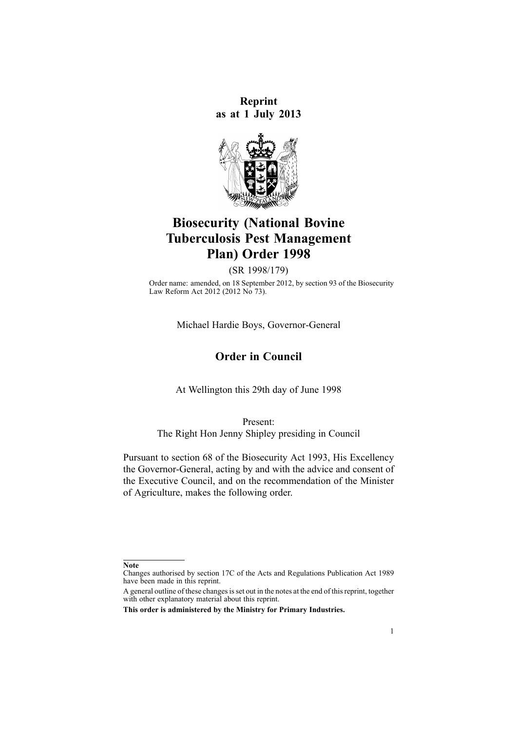**Reprint as at 1 July 2013**



# **Biosecurity (National Bovine Tuberculosis Pest Management Plan) Order 1998**

(SR 1998/179)

Order name: amended, on 18 September 2012, by [section](http://www.legislation.govt.nz/pdflink.aspx?id=DLM3388552) 93 of the Biosecurity Law Reform Act 2012 (2012 No 73).

Michael Hardie Boys, Governor-General

## **Order in Council**

At Wellington this 29th day of June 1998

Present: The Right Hon Jenny Shipley presiding in Council

Pursuant to [section](http://www.legislation.govt.nz/pdflink.aspx?id=DLM315704) 68 of the Biosecurity Act 1993, His Excellency the Governor-General, acting by and with the advice and consent of the Executive Council, and on the recommendation of the Minister of Agriculture, makes the following order.

**Note**

Changes authorised by [section](http://www.legislation.govt.nz/pdflink.aspx?id=DLM195466) 17C of the Acts and Regulations Publication Act 1989 have been made in this reprint.

A general outline of these changes is set out in the notes at the end of this reprint, together with other explanatory material about this reprint.

**This order is administered by the Ministry for Primary Industries.**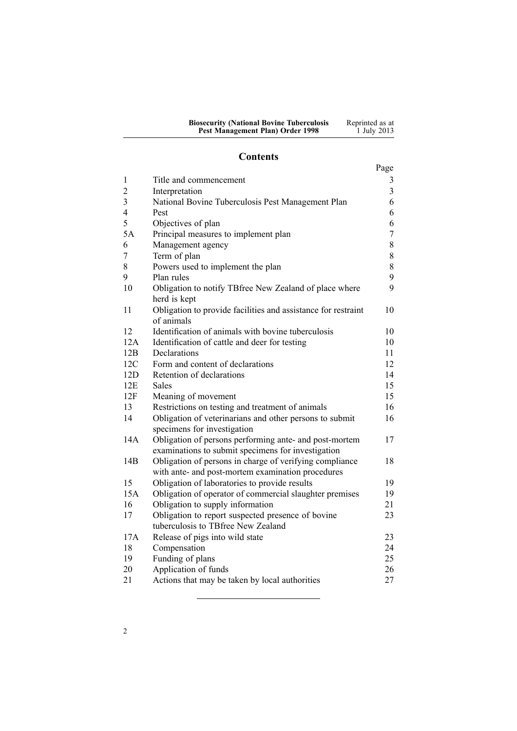| <b>Biosecurity (National Bovine Tuberculosis</b> | Reprinted as at |
|--------------------------------------------------|-----------------|
| Pest Management Plan) Order 1998                 | 1 July 2013     |

## **Contents**

|                         |                                                                             | Page           |
|-------------------------|-----------------------------------------------------------------------------|----------------|
| 1                       | Title and commencement                                                      | 3              |
| $\overline{2}$          | Interpretation                                                              | 3              |
| $\overline{\mathbf{3}}$ | National Bovine Tuberculosis Pest Management Plan                           | 6              |
| $\overline{4}$          | Pest                                                                        | 6              |
| 5                       | Objectives of plan                                                          | 6              |
| 5A                      | Principal measures to implement plan                                        | $\overline{7}$ |
| 6                       | Management agency                                                           | 8              |
| 7                       | Term of plan                                                                | 8              |
| 8                       | Powers used to implement the plan                                           | 8              |
| 9                       | Plan rules                                                                  | 9              |
| 10                      | Obligation to notify TBfree New Zealand of place where                      | 9              |
|                         | herd is kept                                                                |                |
| 11                      | Obligation to provide facilities and assistance for restraint<br>of animals | 10             |
| 12                      | Identification of animals with bovine tuberculosis                          | 10             |
| 12A                     | Identification of cattle and deer for testing                               | 10             |
| 12B                     | Declarations                                                                | 11             |
| 12C                     | Form and content of declarations                                            | 12             |
| 12D                     | Retention of declarations                                                   | 14             |
| 12E                     | <b>Sales</b>                                                                | 15             |
| 12F                     | Meaning of movement                                                         | 15             |
| 13                      | Restrictions on testing and treatment of animals                            | 16             |
| 14                      | Obligation of veterinarians and other persons to submit                     | 16             |
|                         | specimens for investigation                                                 |                |
| 14A                     | Obligation of persons performing ante- and post-mortem                      | 17             |
|                         | examinations to submit specimens for investigation                          |                |
| 14B                     | Obligation of persons in charge of verifying compliance                     | 18             |
|                         | with ante- and post-mortem examination procedures                           |                |
| 15                      | Obligation of laboratories to provide results                               | 19             |
| 15A                     | Obligation of operator of commercial slaughter premises                     | 19             |
| 16                      | Obligation to supply information                                            | 21             |
| 17                      | Obligation to report suspected presence of bovine                           | 23             |
|                         | tuberculosis to TBfree New Zealand                                          |                |
| 17A                     | Release of pigs into wild state                                             | 23             |
| 18                      | Compensation                                                                | 24             |
| 19                      | Funding of plans                                                            | 25             |
| 20                      | Application of funds                                                        | 26             |
| 21                      | Actions that may be taken by local authorities                              | 27             |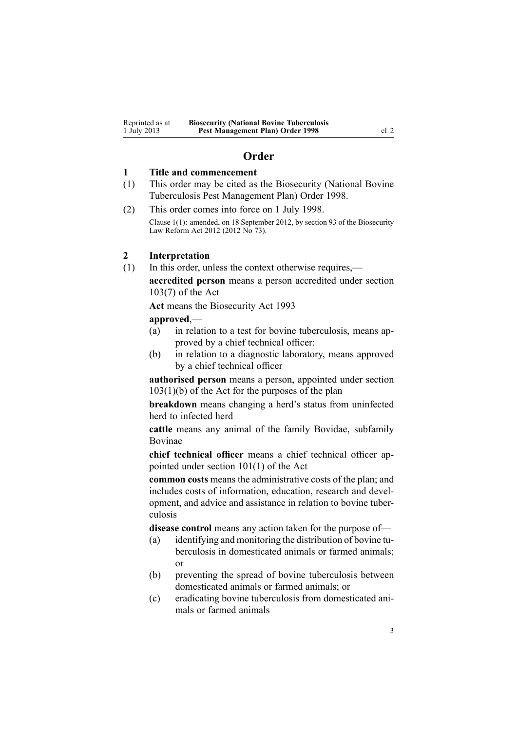## **Order**

#### <span id="page-2-0"></span>**1 Title and commencement**

- (1) This order may be cited as the Biosecurity (National Bovine Tuberculosis Pest Management Plan) Order 1998.
- (2) This order comes into force on 1 July 1998. Clause 1(1): amended, on 18 September 2012, by [section](http://www.legislation.govt.nz/pdflink.aspx?id=DLM3388552) 93 of the Biosecurity Law Reform Act 2012 (2012 No 73).

## **2 Interpretation**

(1) In this order, unless the context otherwise requires, **accredited person** means <sup>a</sup> person accredited under [section](http://www.legislation.govt.nz/pdflink.aspx?id=DLM316059) [103\(7\)](http://www.legislation.govt.nz/pdflink.aspx?id=DLM316059) of the Act

**Act** means the [Biosecurity](http://www.legislation.govt.nz/pdflink.aspx?id=DLM314622) Act 1993

#### **approved**,—

- (a) in relation to <sup>a</sup> test for bovine tuberculosis, means approved by <sup>a</sup> chief technical officer:
- (b) in relation to <sup>a</sup> diagnostic laboratory, means approved by <sup>a</sup> chief technical officer

**authorised person** means <sup>a</sup> person, appointed under [section](http://www.legislation.govt.nz/pdflink.aspx?id=DLM316059)  $103(1)(b)$  of the Act for the purposes of the plan

**breakdown** means changing <sup>a</sup> herd's status from uninfected herd to infected herd

**cattle** means any animal of the family Bovidae, subfamily Bovinae

**chief technical officer** means <sup>a</sup> chief technical officer appointed under section [101\(1\)](http://www.legislation.govt.nz/pdflink.aspx?id=DLM316050) of the Act

**common costs** means the administrative costs of the plan; and includes costs of information, education, research and development, and advice and assistance in relation to bovine tuberculosis

**disease control** means any action taken for the purpose of—

- (a) identifying and monitoring the distribution of bovine tuberculosis in domesticated animals or farmed animals; or
- (b) preventing the spread of bovine tuberculosis between domesticated animals or farmed animals; or
- (c) eradicating bovine tuberculosis from domesticated animals or farmed animals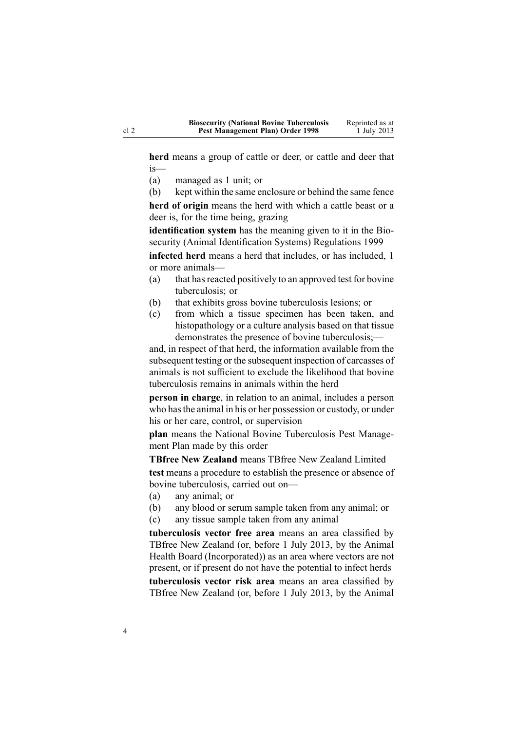**herd** means <sup>a</sup> group of cattle or deer, or cattle and deer that is—

- (a) managed as 1 unit; or
- (b) kept within the same enclosure or behind the same fence

**herd of origin** means the herd with which <sup>a</sup> cattle beast or <sup>a</sup> deer is, for the time being, grazing

**identification system** has the meaning given to it in the [Bio](http://www.legislation.govt.nz/pdflink.aspx?id=DLM284288)security (Animal Identification Systems) [Regulations](http://www.legislation.govt.nz/pdflink.aspx?id=DLM284288) 1999

**infected herd** means <sup>a</sup> herd that includes, or has included, 1 or more animals—

- (a) that has reacted positively to an approved test for bovine tuberculosis; or
- (b) that exhibits gross bovine tuberculosis lesions; or
- (c) from which <sup>a</sup> tissue specimen has been taken, and histopathology or <sup>a</sup> culture analysis based on that tissue demonstrates the presence of bovine tuberculosis;—

and, in respec<sup>t</sup> of that herd, the information available from the subsequent testing or the subsequent inspection of carcasses of animals is not sufficient to exclude the likelihood that bovine tuberculosis remains in animals within the herd

**person in charge**, in relation to an animal, includes <sup>a</sup> person who hasthe animal in his or her possession or custody, or under his or her care, control, or supervision

**plan** means the National Bovine Tuberculosis Pest Management Plan made by this order

**TBfree New Zealand** means TBfree New Zealand Limited **test** means <sup>a</sup> procedure to establish the presence or absence of bovine tuberculosis, carried out on—

- (a) any animal; or
- (b) any blood or serum sample taken from any animal; or
- (c) any tissue sample taken from any animal

**tuberculosis vector free area** means an area classified by TBfree New Zealand (or, before 1 July 2013, by the Animal Health Board (Incorporated)) as an area where vectors are not present, or if presen<sup>t</sup> do not have the potential to infect herds **tuberculosis vector risk area** means an area classified by

TBfree New Zealand (or, before 1 July 2013, by the Animal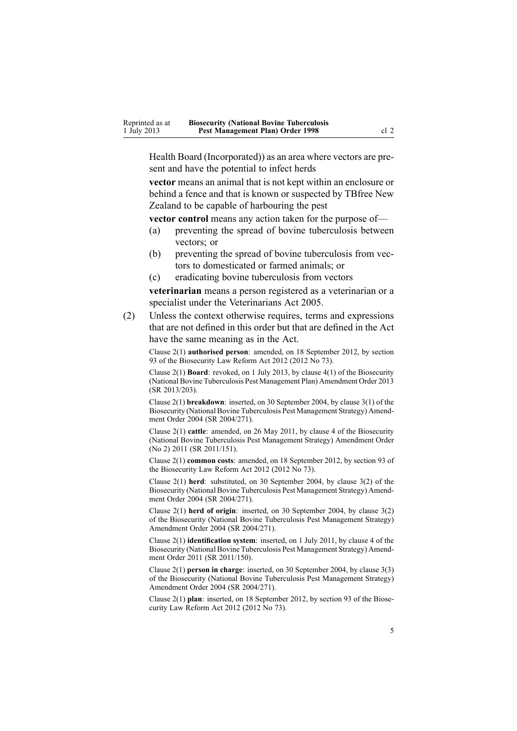Health Board (Incorporated)) as an area where vectors are present and have the potential to infect herds

**vector** means an animal that is not kept within an enclosure or behind <sup>a</sup> fence and that is known or suspected by TBfree New Zealand to be capable of harbouring the pes<sup>t</sup>

**vector control** means any action taken for the purpose of—

- (a) preventing the spread of bovine tuberculosis between vectors; or
- (b) preventing the spread of bovine tuberculosis from vectors to domesticated or farmed animals; or
- (c) eradicating bovine tuberculosis from vectors

**veterinarian** means <sup>a</sup> person registered as <sup>a</sup> veterinarian or <sup>a</sup> specialist under the [Veterinarians](http://www.legislation.govt.nz/pdflink.aspx?id=DLM363858) Act 2005.

(2) Unless the context otherwise requires, terms and expressions that are not defined in this order but that are defined in the Act have the same meaning as in the Act.

Clause 2(1) **authorised person**: amended, on 18 September 2012, by [section](http://www.legislation.govt.nz/pdflink.aspx?id=DLM3388552) [93](http://www.legislation.govt.nz/pdflink.aspx?id=DLM3388552) of the Biosecurity Law Reform Act 2012 (2012 No 73).

Clause 2(1) **Board**: revoked, on 1 July 2013, by [clause](http://www.legislation.govt.nz/pdflink.aspx?id=DLM5201140) 4(1) of the Biosecurity (National Bovine Tuberculosis Pest Management Plan) Amendment Order 2013 (SR 2013/203).

Clause 2(1) **breakdown**: inserted, on 30 September 2004, by [clause](http://www.legislation.govt.nz/pdflink.aspx?id=DLM283061) 3(1) of the Biosecurity (National Bovine Tuberculosis Pest Management Strategy) Amendment Order 2004 (SR 2004/271).

Clause 2(1) **cattle**: amended, on 26 May 2011, by [clause](http://www.legislation.govt.nz/pdflink.aspx?id=DLM3696907) 4 of the Biosecurity (National Bovine Tuberculosis Pest Management Strategy) Amendment Order (No 2) 2011 (SR 2011/151).

Clause 2(1) **common costs**: amended, on 18 September 2012, by [section](http://www.legislation.govt.nz/pdflink.aspx?id=DLM3388552) 93 of the Biosecurity Law Reform Act 2012 (2012 No 73).

Clause 2(1) **herd**: substituted, on 30 September 2004, by [clause](http://www.legislation.govt.nz/pdflink.aspx?id=DLM283061) 3(2) of the Biosecurity (National Bovine Tuberculosis Pest Management Strategy) Amendment Order 2004 (SR 2004/271).

Clause 2(1) **herd of origin**: inserted, on 30 September 2004, by [clause](http://www.legislation.govt.nz/pdflink.aspx?id=DLM283061) 3(2) of the Biosecurity (National Bovine Tuberculosis Pest Management Strategy) Amendment Order 2004 (SR 2004/271).

Clause 2(1) **identification system**: inserted, on 1 July 2011, by [clause](http://www.legislation.govt.nz/pdflink.aspx?id=DLM3765120) 4 of the Biosecurity (National Bovine Tuberculosis Pest Management Strategy) Amendment Order 2011 (SR 2011/150).

Clause 2(1) **person in charge**: inserted, on 30 September 2004, by [clause](http://www.legislation.govt.nz/pdflink.aspx?id=DLM283061) 3(3) of the Biosecurity (National Bovine Tuberculosis Pest Management Strategy) Amendment Order 2004 (SR 2004/271).

Clause 2(1) **plan**: inserted, on 18 September 2012, by [section](http://www.legislation.govt.nz/pdflink.aspx?id=DLM3388552) 93 of the Biosecurity Law Reform Act 2012 (2012 No 73).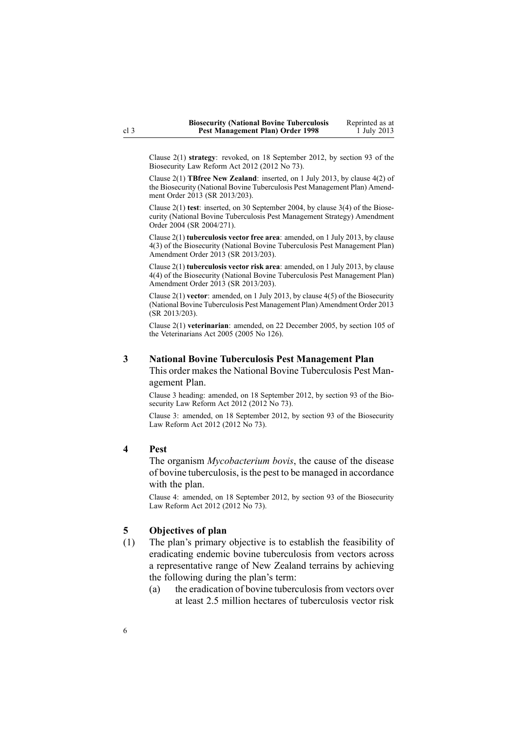<span id="page-5-0"></span>Clause 2(1) **strategy**: revoked, on 18 September 2012, by [section](http://www.legislation.govt.nz/pdflink.aspx?id=DLM3388552) 93 of the Biosecurity Law Reform Act 2012 (2012 No 73).

Clause 2(1) **TBfree New Zealand**: inserted, on 1 July 2013, by [clause](http://www.legislation.govt.nz/pdflink.aspx?id=DLM5201140) 4(2) of the Biosecurity (National Bovine Tuberculosis Pest Management Plan) Amendment Order 2013 (SR 2013/203).

Clause 2(1) **test**: inserted, on 30 September 2004, by [clause](http://www.legislation.govt.nz/pdflink.aspx?id=DLM283061) 3(4) of the Biosecurity (National Bovine Tuberculosis Pest Management Strategy) Amendment Order 2004 (SR 2004/271).

Clause 2(1) **tuberculosis vector free area**: amended, on 1 July 2013, by [clause](http://www.legislation.govt.nz/pdflink.aspx?id=DLM5201140) [4\(3\)](http://www.legislation.govt.nz/pdflink.aspx?id=DLM5201140) of the Biosecurity (National Bovine Tuberculosis Pest Management Plan) Amendment Order 2013 (SR 2013/203).

Clause 2(1) **tuberculosis vector risk area**: amended, on 1 July 2013, by [clause](http://www.legislation.govt.nz/pdflink.aspx?id=DLM5201140) [4\(4\)](http://www.legislation.govt.nz/pdflink.aspx?id=DLM5201140) of the Biosecurity (National Bovine Tuberculosis Pest Management Plan) Amendment Order 2013 (SR 2013/203).

Clause 2(1) **vector**: amended, on 1 July 2013, by [clause](http://www.legislation.govt.nz/pdflink.aspx?id=DLM5201140) 4(5) of the Biosecurity (National Bovine Tuberculosis Pest Management Plan) Amendment Order 2013 (SR 2013/203).

Clause 2(1) **veterinarian**: amended, on 22 December 2005, by [section](http://www.legislation.govt.nz/pdflink.aspx?id=DLM364675) 105 of the Veterinarians Act 2005 (2005 No 126).

#### **3 National Bovine Tuberculosis Pest Management Plan**

This order makes the National Bovine Tuberculosis Pest Managemen<sup>t</sup> Plan.

Clause 3 heading: amended, on 18 September 2012, by [section](http://www.legislation.govt.nz/pdflink.aspx?id=DLM3388552) 93 of the Biosecurity Law Reform Act 2012 (2012 No 73).

Clause 3: amended, on 18 September 2012, by [section](http://www.legislation.govt.nz/pdflink.aspx?id=DLM3388552) 93 of the Biosecurity Law Reform Act 2012 (2012 No 73).

#### **4 Pest**

The organism *Mycobacterium bovis*, the cause of the disease of bovine tuberculosis, isthe pes<sup>t</sup> to be managed in accordance with the plan.

Clause 4: amended, on 18 September 2012, by [section](http://www.legislation.govt.nz/pdflink.aspx?id=DLM3388552) 93 of the Biosecurity Law Reform Act 2012 (2012 No 73).

#### **5 Objectives of plan**

- (1) The plan's primary objective is to establish the feasibility of eradicating endemic bovine tuberculosis from vectors across <sup>a</sup> representative range of New Zealand terrains by achieving the following during the plan's term:
	- (a) the eradication of bovine tuberculosisfrom vectors over at least 2.5 million hectares of tuberculosis vector risk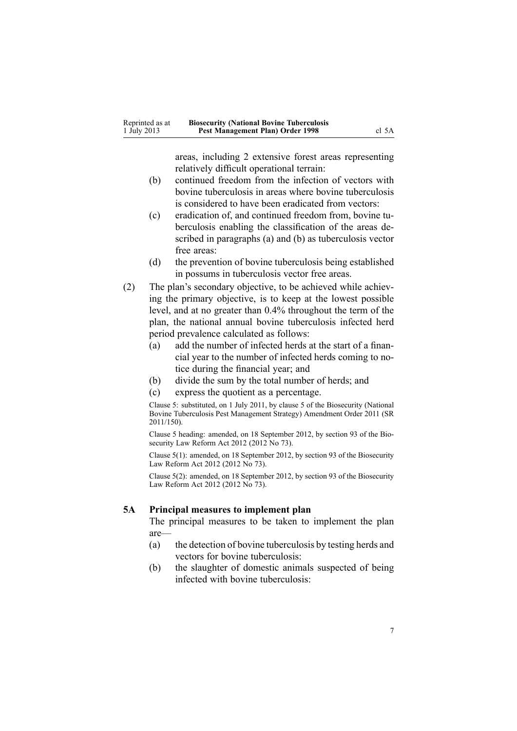areas, including 2 extensive forest areas representing relatively difficult operational terrain:

- <span id="page-6-0"></span>(b) continued freedom from the infection of vectors with bovine tuberculosis in areas where bovine tuberculosis is considered to have been eradicated from vectors:
- (c) eradication of, and continued freedom from, bovine tuberculosis enabling the classification of the areas described in paragraphs (a) and (b) as tuberculosis vector free areas:
- (d) the prevention of bovine tuberculosis being established in possums in tuberculosis vector free areas.
- (2) The plan's secondary objective, to be achieved while achieving the primary objective, is to keep at the lowest possible level, and at no greater than 0.4% throughout the term of the plan, the national annual bovine tuberculosis infected herd period prevalence calculated as follows:
	- (a) add the number of infected herds at the start of <sup>a</sup> financial year to the number of infected herds coming to notice during the financial year; and
	- (b) divide the sum by the total number of herds; and
	- (c) express the quotient as <sup>a</sup> percentage.

Clause 5: substituted, on 1 July 2011, by [clause](http://www.legislation.govt.nz/pdflink.aspx?id=DLM3765124) 5 of the Biosecurity (National Bovine Tuberculosis Pest Management Strategy) Amendment Order 2011 (SR 2011/150).

Clause 5 heading: amended, on 18 September 2012, by [section](http://www.legislation.govt.nz/pdflink.aspx?id=DLM3388552) 93 of the Biosecurity Law Reform Act 2012 (2012 No 73).

Clause 5(1): amended, on 18 September 2012, by [section](http://www.legislation.govt.nz/pdflink.aspx?id=DLM3388552) 93 of the Biosecurity Law Reform Act 2012 (2012 No 73).

Clause 5(2): amended, on 18 September 2012, by [section](http://www.legislation.govt.nz/pdflink.aspx?id=DLM3388552) 93 of the Biosecurity Law Reform Act 2012 (2012 No 73).

#### **5A Principal measures to implement plan**

The principal measures to be taken to implement the plan are—

- (a) the detection of bovine tuberculosis by testing herds and vectors for bovine tuberculosis:
- (b) the slaughter of domestic animals suspected of being infected with bovine tuberculosis: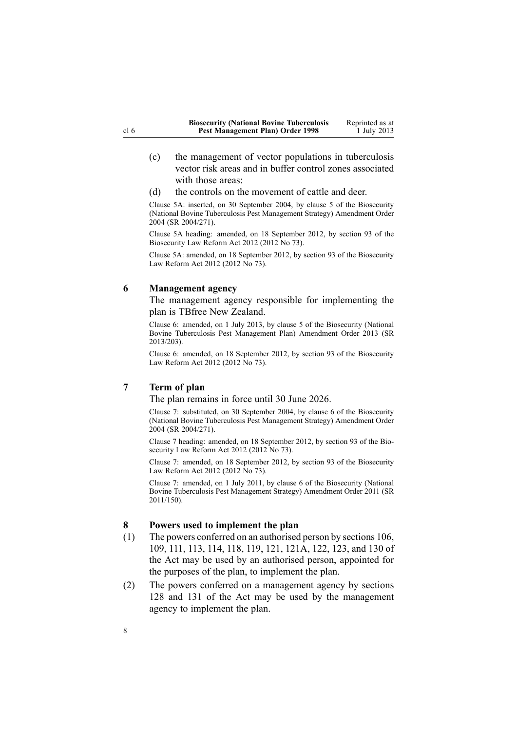- <span id="page-7-0"></span>(c) the managemen<sup>t</sup> of vector populations in tuberculosis vector risk areas and in buffer control zones associated with those areas:
- (d) the controls on the movement of cattle and deer.

Clause 5A: inserted, on 30 September 2004, by [clause](http://www.legislation.govt.nz/pdflink.aspx?id=DLM283074) 5 of the Biosecurity (National Bovine Tuberculosis Pest Management Strategy) Amendment Order 2004 (SR 2004/271).

Clause 5A heading: amended, on 18 September 2012, by [section](http://www.legislation.govt.nz/pdflink.aspx?id=DLM3388552) 93 of the Biosecurity Law Reform Act 2012 (2012 No 73).

Clause 5A: amended, on 18 September 2012, by [section](http://www.legislation.govt.nz/pdflink.aspx?id=DLM3388552) 93 of the Biosecurity Law Reform Act 2012 (2012 No 73).

#### **6 Management agency**

The managemen<sup>t</sup> agency responsible for implementing the plan is TBfree New Zealand.

Clause 6: amended, on 1 July 2013, by [clause](http://www.legislation.govt.nz/pdflink.aspx?id=DLM5201147) 5 of the Biosecurity (National Bovine Tuberculosis Pest Management Plan) Amendment Order 2013 (SR 2013/203).

Clause 6: amended, on 18 September 2012, by [section](http://www.legislation.govt.nz/pdflink.aspx?id=DLM3388552) 93 of the Biosecurity Law Reform Act 2012 (2012 No 73).

### **7 Term of plan**

The plan remains in force until 30 June 2026.

Clause 7: substituted, on 30 September 2004, by [clause](http://www.legislation.govt.nz/pdflink.aspx?id=DLM283076) 6 of the Biosecurity (National Bovine Tuberculosis Pest Management Strategy) Amendment Order 2004 (SR 2004/271).

Clause 7 heading: amended, on 18 September 2012, by [section](http://www.legislation.govt.nz/pdflink.aspx?id=DLM3388552) 93 of the Biosecurity Law Reform Act 2012 (2012 No 73).

Clause 7: amended, on 18 September 2012, by [section](http://www.legislation.govt.nz/pdflink.aspx?id=DLM3388552) 93 of the Biosecurity Law Reform Act 2012 (2012 No 73).

Clause 7: amended, on 1 July 2011, by [clause](http://www.legislation.govt.nz/pdflink.aspx?id=DLM3765125) 6 of the Biosecurity (National Bovine Tuberculosis Pest Management Strategy) Amendment Order 2011 (SR 2011/150).

#### **8 Powers used to implement the plan**

- (1) The powers conferred on an authorised person by [sections](http://www.legislation.govt.nz/pdflink.aspx?id=DLM316077) 106, [109](http://www.legislation.govt.nz/pdflink.aspx?id=DLM316083), [111](http://www.legislation.govt.nz/pdflink.aspx?id=DLM316300), [113](http://www.legislation.govt.nz/pdflink.aspx?id=DLM316306), [114](http://www.legislation.govt.nz/pdflink.aspx?id=DLM316307), [118](http://www.legislation.govt.nz/pdflink.aspx?id=DLM316318), [119](http://www.legislation.govt.nz/pdflink.aspx?id=DLM316319), [121](http://www.legislation.govt.nz/pdflink.aspx?id=DLM316321), [121A](http://www.legislation.govt.nz/pdflink.aspx?id=DLM316325), [122](http://www.legislation.govt.nz/pdflink.aspx?id=DLM316331), [123](http://www.legislation.govt.nz/pdflink.aspx?id=DLM316333), and [130](http://www.legislation.govt.nz/pdflink.aspx?id=DLM316351) of the Act may be used by an authorised person, appointed for the purposes of the plan, to implement the plan.
- (2) The powers conferred on <sup>a</sup> managemen<sup>t</sup> agency by [sections](http://www.legislation.govt.nz/pdflink.aspx?id=DLM316345) [128](http://www.legislation.govt.nz/pdflink.aspx?id=DLM316345) and [131](http://www.legislation.govt.nz/pdflink.aspx?id=DLM316356) of the Act may be used by the managemen<sup>t</sup> agency to implement the plan.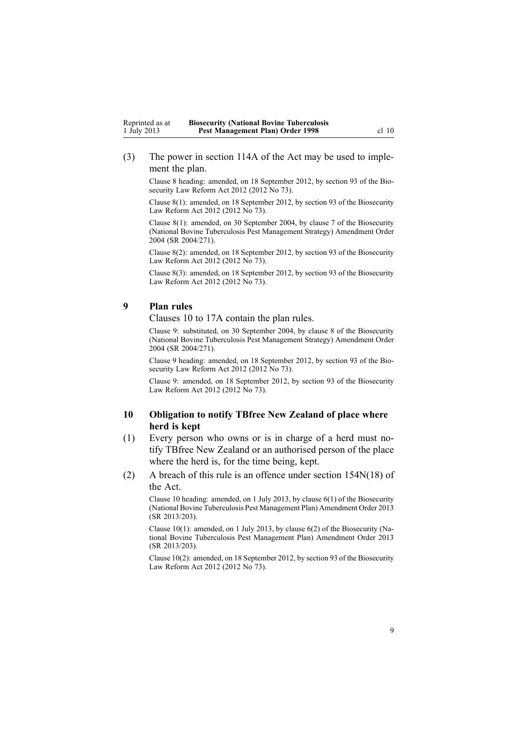<span id="page-8-0"></span>(3) The power in [section](http://www.legislation.govt.nz/pdflink.aspx?id=DLM316309) 114A of the Act may be used to implement the plan.

Clause 8 heading: amended, on 18 September 2012, by [section](http://www.legislation.govt.nz/pdflink.aspx?id=DLM3388552) 93 of the Biosecurity Law Reform Act 2012 (2012 No 73).

Clause 8(1): amended, on 18 September 2012, by [section](http://www.legislation.govt.nz/pdflink.aspx?id=DLM3388552) 93 of the Biosecurity Law Reform Act 2012 (2012 No 73).

Clause 8(1): amended, on 30 September 2004, by [clause](http://www.legislation.govt.nz/pdflink.aspx?id=DLM283078) 7 of the Biosecurity (National Bovine Tuberculosis Pest Management Strategy) Amendment Order 2004 (SR 2004/271).

Clause 8(2): amended, on 18 September 2012, by [section](http://www.legislation.govt.nz/pdflink.aspx?id=DLM3388552) 93 of the Biosecurity Law Reform Act 2012 (2012 No 73).

Clause 8(3): amended, on 18 September 2012, by [section](http://www.legislation.govt.nz/pdflink.aspx?id=DLM3388552) 93 of the Biosecurity Law Reform Act 2012 (2012 No 73).

### **9 Plan rules**

Clauses 10 to 17A contain the plan rules.

Clause 9: substituted, on 30 September 2004, by [clause](http://www.legislation.govt.nz/pdflink.aspx?id=DLM283079) 8 of the Biosecurity (National Bovine Tuberculosis Pest Management Strategy) Amendment Order 2004 (SR 2004/271).

Clause 9 heading: amended, on 18 September 2012, by [section](http://www.legislation.govt.nz/pdflink.aspx?id=DLM3388552) 93 of the Biosecurity Law Reform Act 2012 (2012 No 73).

Clause 9: amended, on 18 September 2012, by [section](http://www.legislation.govt.nz/pdflink.aspx?id=DLM3388552) 93 of the Biosecurity Law Reform Act 2012 (2012 No 73).

## **10 Obligation to notify TBfree New Zealand of place where herd is kept**

- (1) Every person who owns or is in charge of <sup>a</sup> herd must notify TBfree New Zealand or an authorised person of the place where the herd is, for the time being, kept.
- (2) A breach of this rule is an offence under section [154N\(18\)](http://www.legislation.govt.nz/pdflink.aspx?id=DLM4759461) of the Act.

Clause 10 heading: amended, on 1 July 2013, by [clause](http://www.legislation.govt.nz/pdflink.aspx?id=DLM5201148) 6(1) of the Biosecurity (National Bovine Tuberculosis Pest Management Plan) Amendment Order 2013 (SR 2013/203).

Clause 10(1): amended, on 1 July 2013, by [clause](http://www.legislation.govt.nz/pdflink.aspx?id=DLM5201148) 6(2) of the Biosecurity (National Bovine Tuberculosis Pest Management Plan) Amendment Order 2013 (SR 2013/203).

Clause 10(2): amended, on 18 September 2012, by [section](http://www.legislation.govt.nz/pdflink.aspx?id=DLM3388552) 93 of the Biosecurity Law Reform Act 2012 (2012 No 73).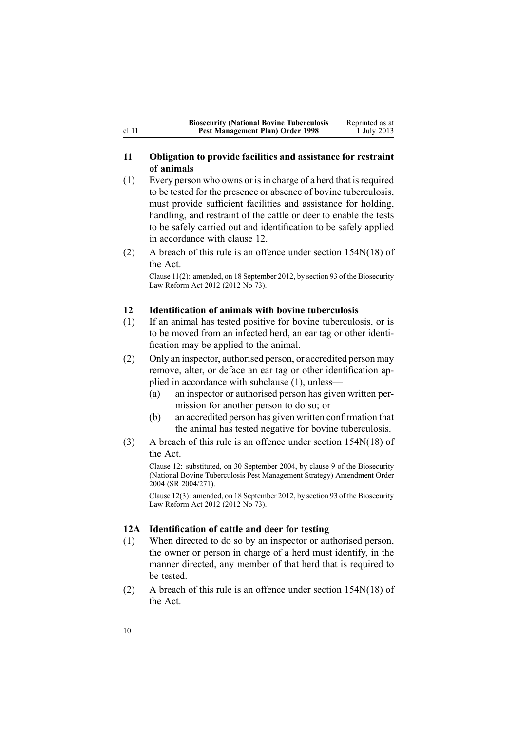<span id="page-9-0"></span>

| <b>Biosecurity (National Bovine Tuberculosis</b> | Reprinted as at |
|--------------------------------------------------|-----------------|
| Pest Management Plan) Order 1998                 | 1 July 2013     |

## **11 Obligation to provide facilities and assistance for restraint of animals**

- $(1)$  Every person who owns or is in charge of a herd that is required to be tested for the presence or absence of bovine tuberculosis, must provide sufficient facilities and assistance for holding, handling, and restraint of the cattle or deer to enable the tests to be safely carried out and identification to be safely applied in accordance with clause 12.
- (2) A breach of this rule is an offence under section [154N\(18\)](http://www.legislation.govt.nz/pdflink.aspx?id=DLM4759461) of the Act.

Clause 11(2): amended, on 18 September 2012, by [section](http://www.legislation.govt.nz/pdflink.aspx?id=DLM3388552) 93 of the Biosecurity Law Reform Act 2012 (2012 No 73).

## **12 Identification of animals with bovine tuberculosis**

- (1) If an animal has tested positive for bovine tuberculosis, or is to be moved from an infected herd, an ear tag or other identification may be applied to the animal.
- (2) Only an inspector, authorised person, or accredited person may remove, alter, or deface an ear tag or other identification applied in accordance with subclause (1), unless—
	- (a) an inspector or authorised person has given written permission for another person to do so; or
	- (b) an accredited person has given written confirmation that the animal has tested negative for bovine tuberculosis.
- (3) A breach of this rule is an offence under section [154N\(18\)](http://www.legislation.govt.nz/pdflink.aspx?id=DLM4759461) of the Act.

Clause 12: substituted, on 30 September 2004, by [clause](http://www.legislation.govt.nz/pdflink.aspx?id=DLM283081) 9 of the Biosecurity (National Bovine Tuberculosis Pest Management Strategy) Amendment Order 2004 (SR 2004/271).

Clause 12(3): amended, on 18 September 2012, by [section](http://www.legislation.govt.nz/pdflink.aspx?id=DLM3388552) 93 of the Biosecurity Law Reform Act 2012 (2012 No 73).

## **12A Identification of cattle and deer for testing**

- (1) When directed to do so by an inspector or authorised person, the owner or person in charge of <sup>a</sup> herd must identify, in the manner directed, any member of that herd that is required to be tested.
- (2) A breach of this rule is an offence under section [154N\(18\)](http://www.legislation.govt.nz/pdflink.aspx?id=DLM4759461) of the Act.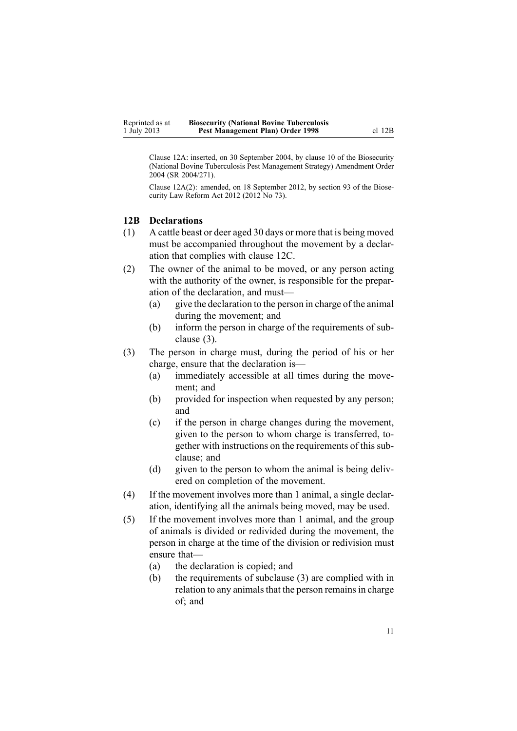<span id="page-10-0"></span>Clause 12A: inserted, on 30 September 2004, by [clause](http://www.legislation.govt.nz/pdflink.aspx?id=DLM283083) 10 of the Biosecurity (National Bovine Tuberculosis Pest Management Strategy) Amendment Order 2004 (SR 2004/271).

Clause 12A(2): amended, on 18 September 2012, by [section](http://www.legislation.govt.nz/pdflink.aspx?id=DLM3388552) 93 of the Biosecurity Law Reform Act 2012 (2012 No 73).

## **12B Declarations**

- (1) A cattle beast or deer aged 30 days or more that is being moved must be accompanied throughout the movement by <sup>a</sup> declaration that complies with [clause](#page-11-0) 12C.
- (2) The owner of the animal to be moved, or any person acting with the authority of the owner, is responsible for the preparation of the declaration, and must—
	- (a) give the declaration to the person in charge of the animal during the movement; and
	- (b) inform the person in charge of the requirements of subclause (3).
- (3) The person in charge must, during the period of his or her charge, ensure that the declaration is—
	- (a) immediately accessible at all times during the movement; and
	- (b) provided for inspection when requested by any person; and
	- (c) if the person in charge changes during the movement, given to the person to whom charge is transferred, together with instructions on the requirements of this subclause; and
	- (d) given to the person to whom the animal is being delivered on completion of the movement.
- (4) If the movement involves more than 1 animal, <sup>a</sup> single declaration, identifying all the animals being moved, may be used.
- (5) If the movement involves more than 1 animal, and the group of animals is divided or redivided during the movement, the person in charge at the time of the division or redivision must ensure that—
	- (a) the declaration is copied; and
	- (b) the requirements of subclause (3) are complied with in relation to any animals that the person remains in charge of; and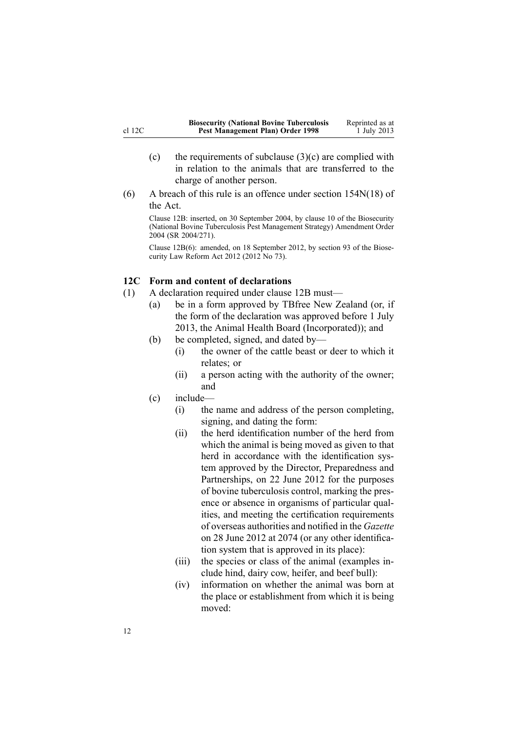- <span id="page-11-0"></span>(c) the requirements of subclause  $(3)(c)$  are complied with in relation to the animals that are transferred to the charge of another person.
- (6) A breach of this rule is an offence under section [154N\(18\)](http://www.legislation.govt.nz/pdflink.aspx?id=DLM4759461) of the Act.

Clause 12B: inserted, on 30 September 2004, by [clause](http://www.legislation.govt.nz/pdflink.aspx?id=DLM283083) 10 of the Biosecurity (National Bovine Tuberculosis Pest Management Strategy) Amendment Order 2004 (SR 2004/271).

Clause 12B(6): amended, on 18 September 2012, by [section](http://www.legislation.govt.nz/pdflink.aspx?id=DLM3388552) 93 of the Biosecurity Law Reform Act 2012 (2012 No 73).

## **12C Form and content of declarations**

- (1) A declaration required under [clause](#page-10-0) 12B must—
	- (a) be in <sup>a</sup> form approved by TBfree New Zealand (or, if the form of the declaration was approved before 1 July 2013, the Animal Health Board (Incorporated)); and
	- (b) be completed, signed, and dated by—
		- (i) the owner of the cattle beast or deer to which it relates; or
		- (ii) <sup>a</sup> person acting with the authority of the owner; and
	- (c) include—
		- (i) the name and address of the person completing, signing, and dating the form:
		- (ii) the herd identification number of the herd from which the animal is being moved as given to that herd in accordance with the identification system approved by the Director, Preparedness and Partnerships, on 22 June 2012 for the purposes of bovine tuberculosis control, marking the presence or absence in organisms of particular qualities, and meeting the certification requirements of overseas authorities and notified in the *Gazette* on 28 June 2012 at 2074 (or any other identification system that is approved in its place):
		- (iii) the species or class of the animal (examples include hind, dairy cow, heifer, and beef bull):
		- (iv) information on whether the animal was born at the place or establishment from which it is being moved: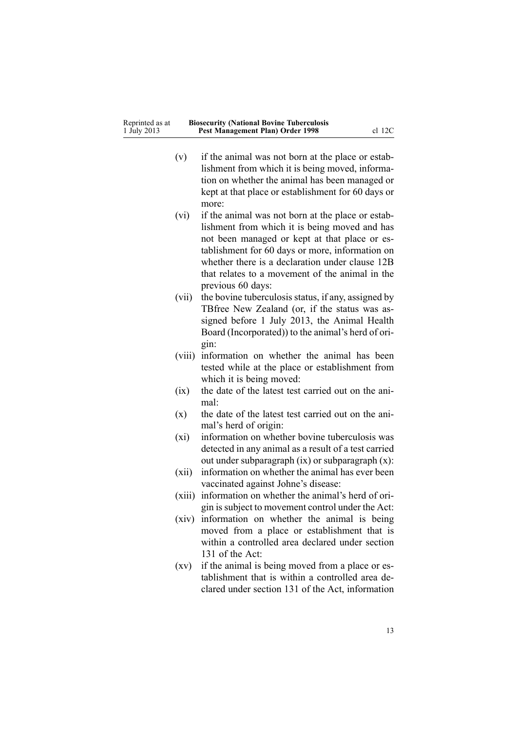| Reprinted as at | <b>Biosecurity (National Bovine Tuberculosis</b> |          |
|-----------------|--------------------------------------------------|----------|
| 1 July 2013     | Pest Management Plan) Order 1998                 | $cl$ 12C |

- (v) if the animal was not born at the place or establishment from which it is being moved, information on whether the animal has been managed or kept at that place or establishment for 60 days or more:
- (vi) if the animal was not born at the place or establishment from which it is being moved and has not been managed or kept at that place or establishment for 60 days or more, information on whether there is <sup>a</sup> declaration under [clause](#page-10-0) 12B that relates to <sup>a</sup> movement of the animal in the previous 60 days:
- (vii) the bovine tuberculosis status, if any, assigned by TBfree New Zealand (or, if the status was assigned before 1 July 2013, the Animal Health Board (Incorporated)) to the animal's herd of origin:
- (viii) information on whether the animal has been tested while at the place or establishment from which it is being moved:
- (ix) the date of the latest test carried out on the animal:
- (x) the date of the latest test carried out on the animal's herd of origin:
- (xi) information on whether bovine tuberculosis was detected in any animal as <sup>a</sup> result of <sup>a</sup> test carried out under subparagraph (ix) or subparagraph (x):
- (xii) information on whether the animal has ever been vaccinated against Johne's disease:
- (xiii) information on whether the animal's herd of origin issubject to movement control under the Act:
- (xiv) information on whether the animal is being moved from <sup>a</sup> place or establishment that is within <sup>a</sup> controlled area declared under [section](http://www.legislation.govt.nz/pdflink.aspx?id=DLM316356) [131](http://www.legislation.govt.nz/pdflink.aspx?id=DLM316356) of the Act:
- (xv) if the animal is being moved from <sup>a</sup> place or establishment that is within <sup>a</sup> controlled area declared under [section](http://www.legislation.govt.nz/pdflink.aspx?id=DLM316356) 131 of the Act, information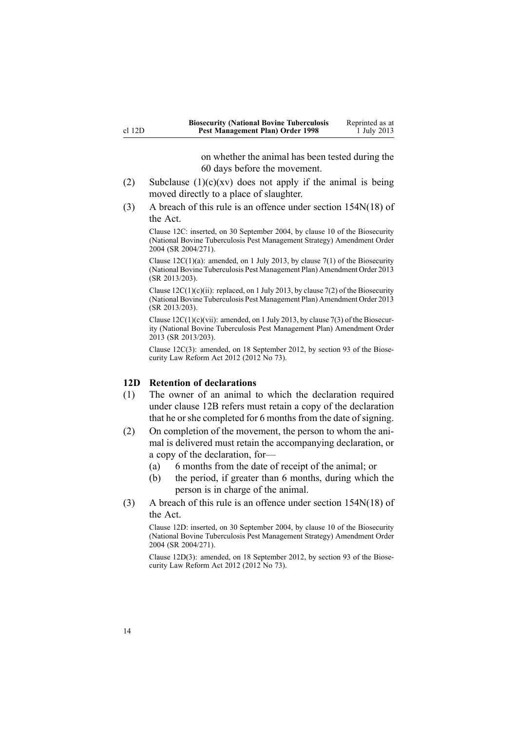on whether the animal has been tested during the 60 days before the movement.

- <span id="page-13-0"></span>(2) Subclause  $(1)(c)(xv)$  does not apply if the animal is being moved directly to <sup>a</sup> place of slaughter.
- (3) A breach of this rule is an offence under section [154N\(18\)](http://www.legislation.govt.nz/pdflink.aspx?id=DLM4759461) of the Act.

Clause 12C: inserted, on 30 September 2004, by [clause](http://www.legislation.govt.nz/pdflink.aspx?id=DLM283083) 10 of the Biosecurity (National Bovine Tuberculosis Pest Management Strategy) Amendment Order 2004 (SR 2004/271).

Clause  $12C(1)(a)$ : amended, on 1 July 2013, by [clause](http://www.legislation.govt.nz/pdflink.aspx?id=DLM5201149) 7(1) of the Biosecurity (National Bovine Tuberculosis Pest Management Plan) Amendment Order 2013 (SR 2013/203).

Clause  $12C(1)(c)(ii)$ : replaced, on 1 July 2013, by [clause](http://www.legislation.govt.nz/pdflink.aspx?id=DLM5201149) 7(2) of the Biosecurity (National Bovine Tuberculosis Pest Management Plan) Amendment Order 2013 (SR 2013/203).

Clause 12C(1)(c)(vii): amended, on 1 July 2013, by [clause](http://www.legislation.govt.nz/pdflink.aspx?id=DLM5201149) 7(3) of the Biosecurity (National Bovine Tuberculosis Pest Management Plan) Amendment Order 2013 (SR 2013/203).

Clause 12C(3): amended, on 18 September 2012, by [section](http://www.legislation.govt.nz/pdflink.aspx?id=DLM3388552) 93 of the Biosecurity Law Reform Act 2012 (2012 No 73).

#### **12D Retention of declarations**

- (1) The owner of an animal to which the declaration required under [clause](#page-10-0) 12B refers must retain <sup>a</sup> copy of the declaration that he or she completed for 6 months from the date of signing.
- (2) On completion of the movement, the person to whom the animal is delivered must retain the accompanying declaration, or <sup>a</sup> copy of the declaration, for—
	- (a) 6 months from the date of receipt of the animal; or
	- (b) the period, if greater than 6 months, during which the person is in charge of the animal.
- (3) A breach of this rule is an offence under section [154N\(18\)](http://www.legislation.govt.nz/pdflink.aspx?id=DLM4759461) of the Act.

Clause 12D: inserted, on 30 September 2004, by [clause](http://www.legislation.govt.nz/pdflink.aspx?id=DLM283083) 10 of the Biosecurity (National Bovine Tuberculosis Pest Management Strategy) Amendment Order 2004 (SR 2004/271).

Clause 12D(3): amended, on 18 September 2012, by [section](http://www.legislation.govt.nz/pdflink.aspx?id=DLM3388552) 93 of the Biosecurity Law Reform Act 2012 (2012 No 73).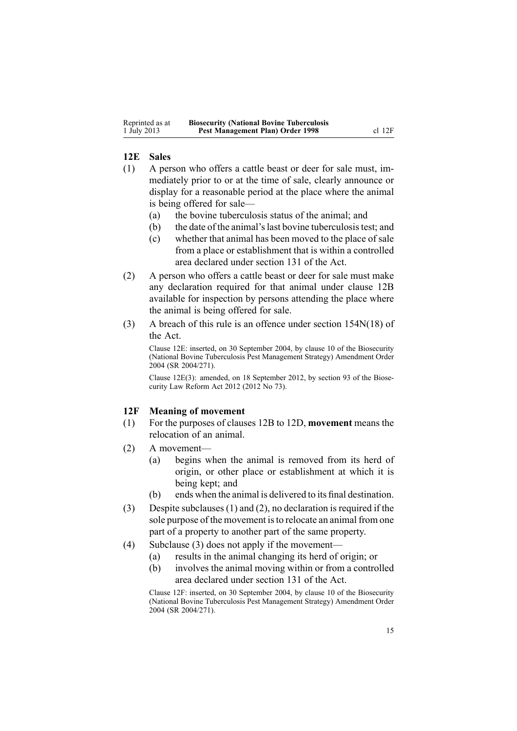#### <span id="page-14-0"></span>**12E Sales**

- (1) A person who offers <sup>a</sup> cattle beast or deer for sale must, immediately prior to or at the time of sale, clearly announce or display for <sup>a</sup> reasonable period at the place where the animal is being offered for sale—
	- (a) the bovine tuberculosis status of the animal; and
	- (b) the date of the animal'slast bovine tuberculosistest; and
	- (c) whether that animal has been moved to the place of sale from <sup>a</sup> place or establishment that is within <sup>a</sup> controlled area declared under [section](http://www.legislation.govt.nz/pdflink.aspx?id=DLM316356) 131 of the Act.
- (2) A person who offers <sup>a</sup> cattle beast or deer for sale must make any declaration required for that animal under [clause](#page-10-0) 12B available for inspection by persons attending the place where the animal is being offered for sale.
- (3) A breach of this rule is an offence under section [154N\(18\)](http://www.legislation.govt.nz/pdflink.aspx?id=DLM4759461) of the Act.

Clause 12E: inserted, on 30 September 2004, by [clause](http://www.legislation.govt.nz/pdflink.aspx?id=DLM283083) 10 of the Biosecurity (National Bovine Tuberculosis Pest Management Strategy) Amendment Order 2004 (SR 2004/271).

Clause 12E(3): amended, on 18 September 2012, by [section](http://www.legislation.govt.nz/pdflink.aspx?id=DLM3388552) 93 of the Biosecurity Law Reform Act 2012 (2012 No 73).

#### **12F Meaning of movement**

- (1) For the purposes of [clauses](#page-10-0) 12B to 12D, **movement** means the relocation of an animal.
- (2) A movement—
	- (a) begins when the animal is removed from its herd of origin, or other place or establishment at which it is being kept; and
	- (b) ends when the animal is delivered to its final destination.
- (3) Despite subclauses (1) and (2), no declaration is required if the sole purpose of the movement is to relocate an animal from one par<sup>t</sup> of <sup>a</sup> property to another par<sup>t</sup> of the same property.
- (4) Subclause (3) does not apply if the movement—
	- (a) results in the animal changing its herd of origin; or
	- (b) involves the animal moving within or from <sup>a</sup> controlled area declared under [section](http://www.legislation.govt.nz/pdflink.aspx?id=DLM316356) 131 of the Act.

Clause 12F: inserted, on 30 September 2004, by [clause](http://www.legislation.govt.nz/pdflink.aspx?id=DLM283083) 10 of the Biosecurity (National Bovine Tuberculosis Pest Management Strategy) Amendment Order 2004 (SR 2004/271).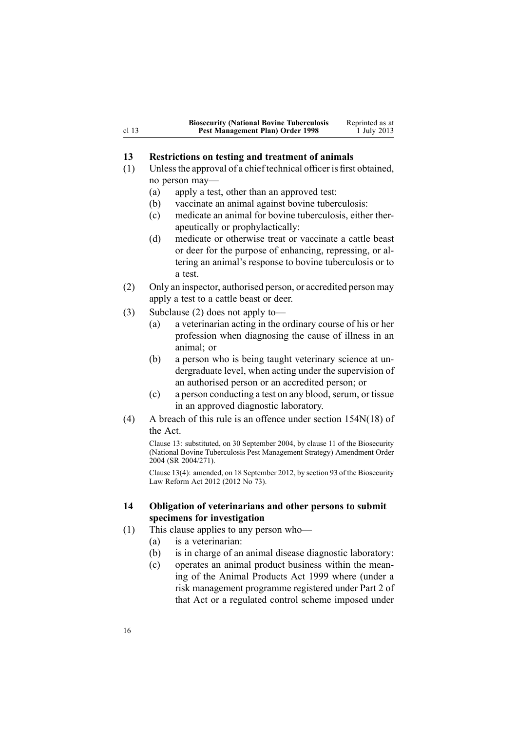<span id="page-15-0"></span>

|       | <b>Biosecurity (National Bovine Tuberculosis</b> | Reprinted as at |
|-------|--------------------------------------------------|-----------------|
| cl 13 | Pest Management Plan) Order 1998                 | 1 July 2013     |

#### **13 Restrictions on testing and treatment of animals**

- (1) Unlessthe approval of <sup>a</sup> chief technical officer is first obtained, no person may—
	- (a) apply <sup>a</sup> test, other than an approved test:
	- (b) vaccinate an animal against bovine tuberculosis:
	- (c) medicate an animal for bovine tuberculosis, either therapeutically or prophylactically:
	- (d) medicate or otherwise treat or vaccinate <sup>a</sup> cattle beast or deer for the purpose of enhancing, repressing, or altering an animal's response to bovine tuberculosis or to a test.
- (2) Only an inspector, authorised person, or accredited person may apply <sup>a</sup> test to <sup>a</sup> cattle beast or deer.
- (3) Subclause (2) does not apply to—
	- (a) <sup>a</sup> veterinarian acting in the ordinary course of his or her profession when diagnosing the cause of illness in an animal; or
	- (b) <sup>a</sup> person who is being taught veterinary science at undergraduate level, when acting under the supervision of an authorised person or an accredited person; or
	- $(c)$  a person conducting a test on any blood, serum, or tissue in an approved diagnostic laboratory.
- (4) A breach of this rule is an offence under section [154N\(18\)](http://www.legislation.govt.nz/pdflink.aspx?id=DLM4759461) of the Act.

Clause 13: substituted, on 30 September 2004, by [clause](http://www.legislation.govt.nz/pdflink.aspx?id=DLM283091) 11 of the Biosecurity (National Bovine Tuberculosis Pest Management Strategy) Amendment Order 2004 (SR 2004/271).

Clause 13(4): amended, on 18 September 2012, by [section](http://www.legislation.govt.nz/pdflink.aspx?id=DLM3388552) 93 of the Biosecurity Law Reform Act 2012 (2012 No 73).

## **14 Obligation of veterinarians and other persons to submit specimens for investigation**

- (1) This clause applies to any person who—
	- (a) is <sup>a</sup> veterinarian:
	- (b) is in charge of an animal disease diagnostic laboratory:
	- (c) operates an animal product business within the meaning of the Animal [Products](http://www.legislation.govt.nz/pdflink.aspx?id=DLM33501) Act 1999 where (under <sup>a</sup> risk managemen<sup>t</sup> programme registered under [Part](http://www.legislation.govt.nz/pdflink.aspx?id=DLM34308) 2 of that Act or <sup>a</sup> regulated control scheme imposed under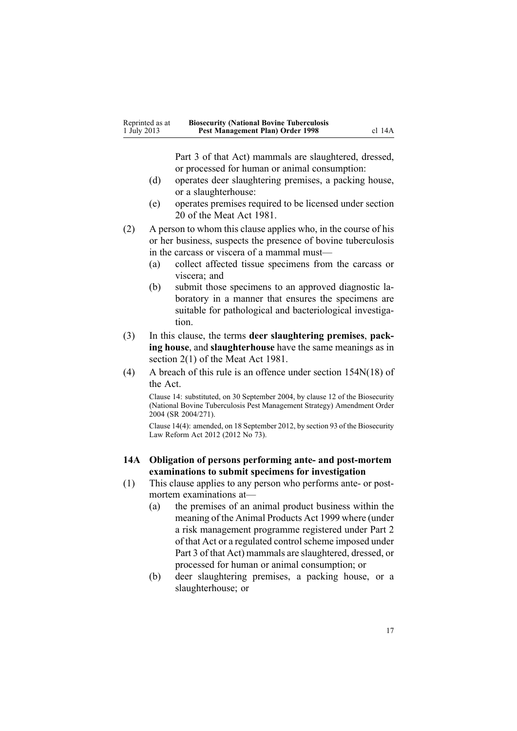<span id="page-16-0"></span>

| Reprinted as at | <b>Biosecurity (National Bovine Tuberculosis</b> |        |
|-----------------|--------------------------------------------------|--------|
| 1 July 2013     | Pest Management Plan) Order 1998                 | cl 14A |

[Part](http://www.legislation.govt.nz/pdflink.aspx?id=DLM34388) 3 of that Act) mammals are slaughtered, dressed, or processed for human or animal consumption:

- (d) operates deer slaughtering premises, <sup>a</sup> packing house, or <sup>a</sup> slaughterhouse:
- (e) operates premises required to be licensed under section 20 of the Meat Act 1981.
- (2) A person to whom this clause applies who, in the course of his or her business, suspects the presence of bovine tuberculosis in the carcass or viscera of <sup>a</sup> mammal must—
	- (a) collect affected tissue specimens from the carcass or viscera; and
	- (b) submit those specimens to an approved diagnostic laboratory in <sup>a</sup> manner that ensures the specimens are suitable for pathological and bacteriological investigation.
- (3) In this clause, the terms **deer slaughtering premises**, **packing house**, and **slaughterhouse** have the same meanings as in section 2(1) of the Meat Act 1981.
- (4) A breach of this rule is an offence under section [154N\(18\)](http://www.legislation.govt.nz/pdflink.aspx?id=DLM4759461) of the Act.

Clause 14: substituted, on 30 September 2004, by [clause](http://www.legislation.govt.nz/pdflink.aspx?id=DLM283093) 12 of the Biosecurity (National Bovine Tuberculosis Pest Management Strategy) Amendment Order 2004 (SR 2004/271).

Clause 14(4): amended, on 18 September 2012, by [section](http://www.legislation.govt.nz/pdflink.aspx?id=DLM3388552) 93 of the Biosecurity Law Reform Act 2012 (2012 No 73).

#### **14A Obligation of persons performing ante- and post-mortem examinations to submit specimens for investigation**

- (1) This clause applies to any person who performs ante- or postmortem examinations at—
	- (a) the premises of an animal product business within the meaning of the Animal [Products](http://www.legislation.govt.nz/pdflink.aspx?id=DLM33501) Act 1999 where (under <sup>a</sup> risk managemen<sup>t</sup> programme registered under [Part](http://www.legislation.govt.nz/pdflink.aspx?id=DLM34308) 2 of that Act or a regulated control scheme imposed under [Part](http://www.legislation.govt.nz/pdflink.aspx?id=DLM34388) 3 of that Act) mammals are slaughtered, dressed, or processed for human or animal consumption; or
	- (b) deer slaughtering premises, <sup>a</sup> packing house, or <sup>a</sup> slaughterhouse; or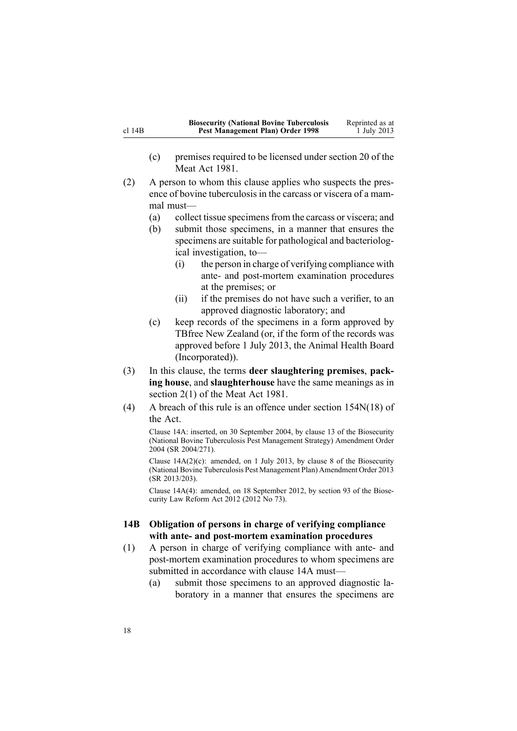<span id="page-17-0"></span>

|             | <b>Biosecurity (National Bovine Tuberculosis</b> | Reprinted as at |
|-------------|--------------------------------------------------|-----------------|
| $cl$ 14 $B$ | Pest Management Plan) Order 1998                 | 1 July 2013     |

- (c) premises required to be licensed under section 20 of the Meat Act 1981.
- (2) A person to whom this clause applies who suspects the presence of bovine tuberculosis in the carcass or viscera of <sup>a</sup> mammal must—
	- (a) collect tissue specimensfrom the carcass or viscera; and
	- (b) submit those specimens, in <sup>a</sup> manner that ensures the specimens are suitable for pathological and bacteriological investigation, to—
		- (i) the person in charge of verifying compliance with ante- and post-mortem examination procedures at the premises; or
		- (ii) if the premises do not have such <sup>a</sup> verifier, to an approved diagnostic laboratory; and
	- (c) keep records of the specimens in <sup>a</sup> form approved by TBfree New Zealand (or, if the form of the records was approved before 1 July 2013, the Animal Health Board (Incorporated)).
- (3) In this clause, the terms **deer slaughtering premises**, **packing house**, and **slaughterhouse** have the same meanings as in section 2(1) of the Meat Act 1981.
- (4) A breach of this rule is an offence under section [154N\(18\)](http://www.legislation.govt.nz/pdflink.aspx?id=DLM4759461) of the Act.

Clause 14A: inserted, on 30 September 2004, by [clause](http://www.legislation.govt.nz/pdflink.aspx?id=DLM283098) 13 of the Biosecurity (National Bovine Tuberculosis Pest Management Strategy) Amendment Order 2004 (SR 2004/271).

Clause  $14A(2)(c)$ : amended, on 1 July 2013, by [clause](http://www.legislation.govt.nz/pdflink.aspx?id=DLM5201150) 8 of the Biosecurity (National Bovine Tuberculosis Pest Management Plan) Amendment Order 2013 (SR 2013/203).

Clause 14A(4): amended, on 18 September 2012, by [section](http://www.legislation.govt.nz/pdflink.aspx?id=DLM3388552) 93 of the Biosecurity Law Reform Act 2012 (2012 No 73).

### **14B Obligation of persons in charge of verifying compliance with ante- and post-mortem examination procedures**

- (1) A person in charge of verifying compliance with ante- and post-mortem examination procedures to whom specimens are submitted in accordance with [clause](#page-16-0) 14A must—
	- (a) submit those specimens to an approved diagnostic laboratory in <sup>a</sup> manner that ensures the specimens are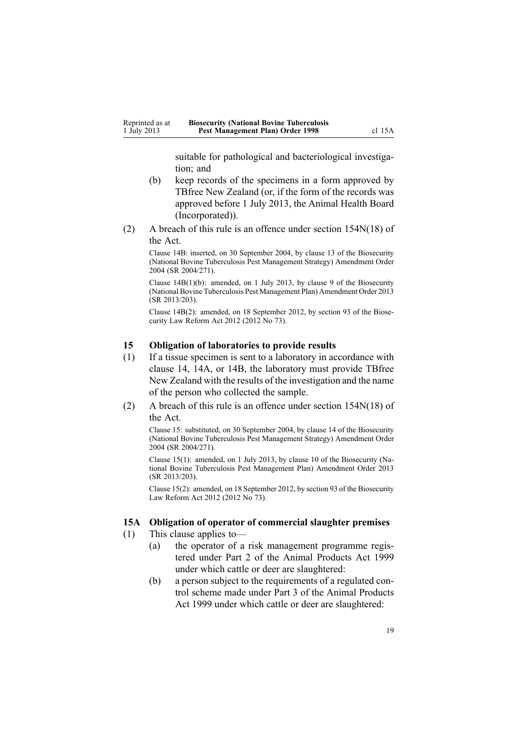suitable for pathological and bacteriological investigation; and

- <span id="page-18-0"></span>(b) keep records of the specimens in <sup>a</sup> form approved by TBfree New Zealand (or, if the form of the records was approved before 1 July 2013, the Animal Health Board (Incorporated)).
- (2) A breach of this rule is an offence under section [154N\(18\)](http://www.legislation.govt.nz/pdflink.aspx?id=DLM4759461) of the Act.

Clause 14B: inserted, on 30 September 2004, by [clause](http://www.legislation.govt.nz/pdflink.aspx?id=DLM283098) 13 of the Biosecurity (National Bovine Tuberculosis Pest Management Strategy) Amendment Order 2004 (SR 2004/271).

Clause 14B(1)(b): amended, on 1 July 2013, by [clause](http://www.legislation.govt.nz/pdflink.aspx?id=DLM5201151) 9 of the Biosecurity (National Bovine Tuberculosis Pest Management Plan) Amendment Order 2013 (SR 2013/203).

Clause 14B(2): amended, on 18 September 2012, by [section](http://www.legislation.govt.nz/pdflink.aspx?id=DLM3388552) 93 of the Biosecurity Law Reform Act 2012 (2012 No 73).

#### **15 Obligation of laboratories to provide results**

- (1) If <sup>a</sup> tissue specimen is sent to <sup>a</sup> laboratory in accordance with [clause](#page-15-0) 14, [14A](#page-16-0), or [14B](#page-17-0), the laboratory must provide TBfree New Zealand with the results of the investigation and the name of the person who collected the sample.
- (2) A breach of this rule is an offence under section [154N\(18\)](http://www.legislation.govt.nz/pdflink.aspx?id=DLM4759461) of the Act.

Clause 15: substituted, on 30 September 2004, by [clause](http://www.legislation.govt.nz/pdflink.aspx?id=DLM283604) 14 of the Biosecurity (National Bovine Tuberculosis Pest Management Strategy) Amendment Order 2004 (SR 2004/271).

Clause 15(1): amended, on 1 July 2013, by [clause](http://www.legislation.govt.nz/pdflink.aspx?id=DLM5201152) 10 of the Biosecurity (National Bovine Tuberculosis Pest Management Plan) Amendment Order 2013 (SR 2013/203).

Clause 15(2): amended, on 18 September 2012, by [section](http://www.legislation.govt.nz/pdflink.aspx?id=DLM3388552) 93 of the Biosecurity Law Reform Act 2012 (2012 No 73).

#### **15A Obligation of operator of commercial slaughter premises**

(1) This clause applies to—

- (a) the operator of <sup>a</sup> risk managemen<sup>t</sup> programme registered under [Part](http://www.legislation.govt.nz/pdflink.aspx?id=DLM34308) 2 of the Animal Products Act 1999 under which cattle or deer are slaughtered:
- (b) <sup>a</sup> person subject to the requirements of <sup>a</sup> regulated control scheme made under [Part](http://www.legislation.govt.nz/pdflink.aspx?id=DLM34388) 3 of the Animal Products Act 1999 under which cattle or deer are slaughtered: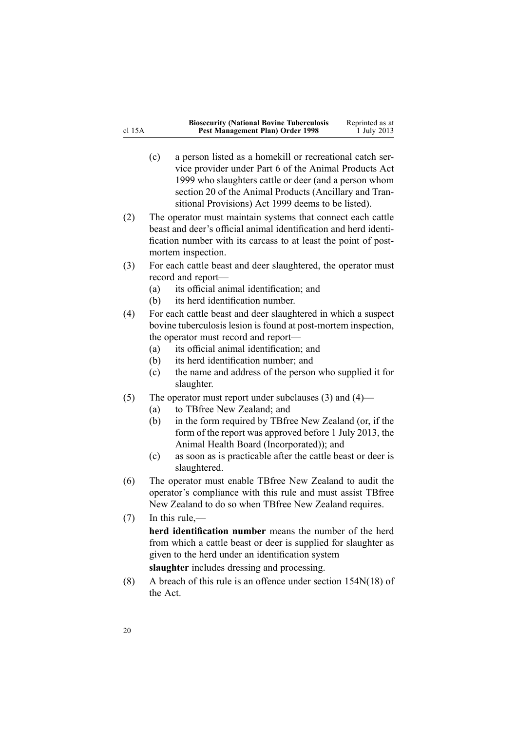|   | <b>Biosecurity (National Bovine Tuberculosis</b> | Reprinted as at |
|---|--------------------------------------------------|-----------------|
| А | Pest Management Plan) Order 1998                 | 1 July 2013     |

- (c) <sup>a</sup> person listed as <sup>a</sup> homekill or recreational catch service provider under [Part](http://www.legislation.govt.nz/pdflink.aspx?id=DLM34877) 6 of the Animal Products Act 1999 who slaughters cattle or deer (and <sup>a</sup> person whom [section](http://www.legislation.govt.nz/pdflink.aspx?id=DLM37216) 20 of the Animal Products (Ancillary and Transitional Provisions) Act 1999 deems to be listed).
- (2) The operator must maintain systems that connect each cattle beast and deer's official animal identification and herd identification number with its carcass to at least the point of postmortem inspection.
- (3) For each cattle beast and deer slaughtered, the operator must record and report—
	- (a) its official animal identification; and
	- (b) its herd identification number.
- (4) For each cattle beast and deer slaughtered in which <sup>a</sup> suspec<sup>t</sup> bovine tuberculosis lesion is found at post-mortem inspection, the operator must record and report—
	- (a) its official animal identification; and
	- (b) its herd identification number; and
	- (c) the name and address of the person who supplied it for slaughter.
- (5) The operator must repor<sup>t</sup> under subclauses (3) and (4)—
	- (a) to TBfree New Zealand; and
	- (b) in the form required by TBfree New Zealand (or, if the form of the repor<sup>t</sup> was approved before 1 July 2013, the Animal Health Board (Incorporated)); and
	- (c) as soon as is practicable after the cattle beast or deer is slaughtered.
- (6) The operator must enable TBfree New Zealand to audit the operator's compliance with this rule and must assist TBfree New Zealand to do so when TBfree New Zealand requires.
- (7) In this rule,—

**herd identification number** means the number of the herd from which <sup>a</sup> cattle beast or deer is supplied for slaughter as given to the herd under an identification system **slaughter** includes dressing and processing.

(8) A breach of this rule is an offence under section [154N\(18\)](http://www.legislation.govt.nz/pdflink.aspx?id=DLM4759461) of the Act.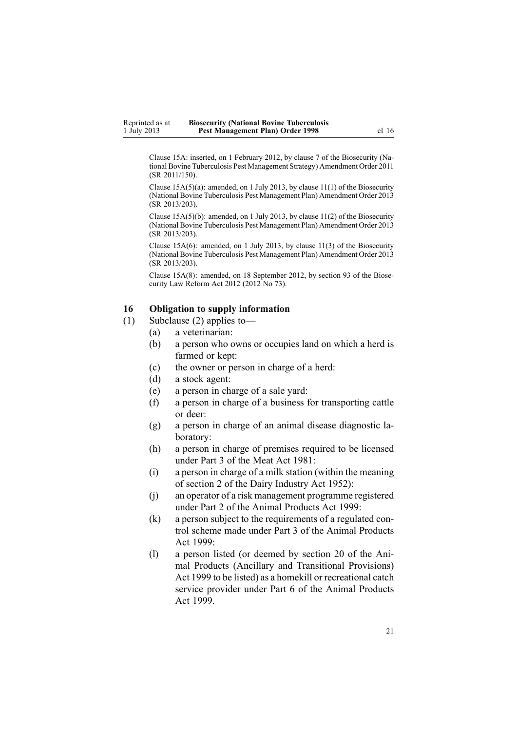<span id="page-20-0"></span>Clause 15A: inserted, on 1 February 2012, by [clause](http://www.legislation.govt.nz/pdflink.aspx?id=DLM3765101) 7 of the Biosecurity (National Bovine Tuberculosis Pest Management Strategy) Amendment Order 2011 (SR 2011/150).

Clause 15A(5)(a): amended, on 1 July 2013, by [clause](http://www.legislation.govt.nz/pdflink.aspx?id=DLM5201153) 11(1) of the Biosecurity (National Bovine Tuberculosis Pest Management Plan) Amendment Order 2013 (SR 2013/203).

Clause 15A(5)(b): amended, on 1 July 2013, by [clause](http://www.legislation.govt.nz/pdflink.aspx?id=DLM5201153) 11(2) of the Biosecurity (National Bovine Tuberculosis Pest Management Plan) Amendment Order 2013 (SR 2013/203).

Clause 15A(6): amended, on 1 July 2013, by clause [11\(3\)](http://www.legislation.govt.nz/pdflink.aspx?id=DLM5201153) of the Biosecurity (National Bovine Tuberculosis Pest Management Plan) Amendment Order 2013 (SR 2013/203).

Clause 15A(8): amended, on 18 September 2012, by [section](http://www.legislation.govt.nz/pdflink.aspx?id=DLM3388552) 93 of the Biosecurity Law Reform Act 2012 (2012 No 73).

## **16 Obligation to supply information**

- (1) Subclause (2) applies to—
	- (a) <sup>a</sup> veterinarian:
	- (b) <sup>a</sup> person who owns or occupies land on which <sup>a</sup> herd is farmed or kept:
	- (c) the owner or person in charge of <sup>a</sup> herd:
	- (d) <sup>a</sup> stock agent:
	- (e) <sup>a</sup> person in charge of <sup>a</sup> sale yard:
	- (f) <sup>a</sup> person in charge of <sup>a</sup> business for transporting cattle or deer:
	- (g) <sup>a</sup> person in charge of an animal disease diagnostic laboratory:
	- (h) <sup>a</sup> person in charge of premises required to be licensed under Part 3 of the Meat Act 1981:
	- (i) <sup>a</sup> person in charge of <sup>a</sup> milk station (within the meaning of section 2 of the Dairy Industry Act 1952):
	- (j) an operator of <sup>a</sup> risk managemen<sup>t</sup> programme registered under [Part](http://www.legislation.govt.nz/pdflink.aspx?id=DLM34308) 2 of the Animal Products Act 1999:
	- (k) <sup>a</sup> person subject to the requirements of <sup>a</sup> regulated control scheme made under [Part](http://www.legislation.govt.nz/pdflink.aspx?id=DLM34388) 3 of the Animal Products Act 1999:
	- (l) <sup>a</sup> person listed (or deemed by [section](http://www.legislation.govt.nz/pdflink.aspx?id=DLM37216) 20 of the Animal Products (Ancillary and Transitional Provisions) Act 1999 to be listed) as <sup>a</sup> homekill or recreational catch service provider under [Part](http://www.legislation.govt.nz/pdflink.aspx?id=DLM34877) 6 of the Animal Products Act 1999.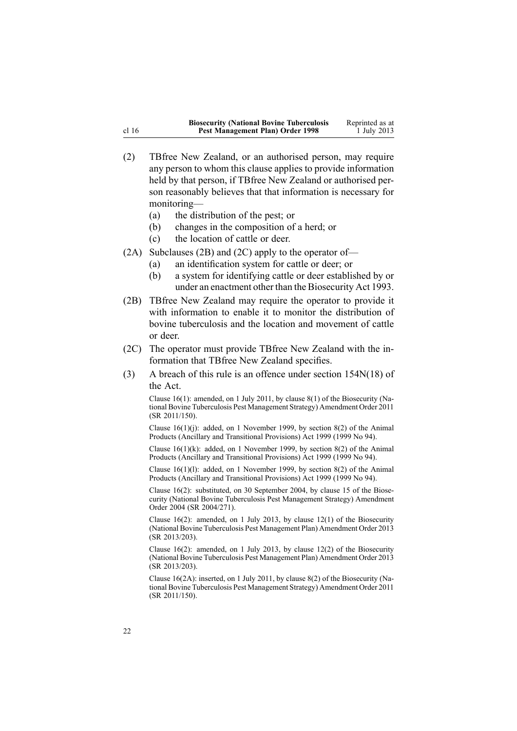|                  | <b>Biosecurity (National Bovine Tuberculosis</b> | Reprinted as at |
|------------------|--------------------------------------------------|-----------------|
| cl <sub>16</sub> | Pest Management Plan) Order 1998                 | 1 July 2013     |

- (2) TBfree New Zealand, or an authorised person, may require any person to whom this clause applies to provide information held by that person, if TBfree New Zealand or authorised person reasonably believes that that information is necessary for monitoring—
	- (a) the distribution of the pest; or
	- (b) changes in the composition of <sup>a</sup> herd; or
	- (c) the location of cattle or deer.
- (2A) Subclauses (2B) and (2C) apply to the operator of—
	- (a) an identification system for cattle or deer; or
	- (b) <sup>a</sup> system for identifying cattle or deer established by or under an enactment other than the [Biosecurity](http://www.legislation.govt.nz/pdflink.aspx?id=DLM314622) Act 1993.
- (2B) TBfree New Zealand may require the operator to provide it with information to enable it to monitor the distribution of bovine tuberculosis and the location and movement of cattle or deer.
- (2C) The operator must provide TBfree New Zealand with the information that TBfree New Zealand specifies.
- (3) A breach of this rule is an offence under section [154N\(18\)](http://www.legislation.govt.nz/pdflink.aspx?id=DLM4759461) of the Act.

Clause 16(1): amended, on 1 July 2011, by [clause](http://www.legislation.govt.nz/pdflink.aspx?id=DLM3765133) 8(1) of the Biosecurity (National Bovine Tuberculosis Pest Management Strategy) Amendment Order 2011 (SR 2011/150).

Clause 16(1)(j): added, on 1 November 1999, by [section](http://www.legislation.govt.nz/pdflink.aspx?id=DLM36187) 8(2) of the Animal Products (Ancillary and Transitional Provisions) Act 1999 (1999 No 94).

Clause 16(1)(k): added, on 1 November 1999, by [section](http://www.legislation.govt.nz/pdflink.aspx?id=DLM36187) 8(2) of the Animal Products (Ancillary and Transitional Provisions) Act 1999 (1999 No 94).

Clause 16(1)(l): added, on 1 November 1999, by [section](http://www.legislation.govt.nz/pdflink.aspx?id=DLM36187) 8(2) of the Animal Products (Ancillary and Transitional Provisions) Act 1999 (1999 No 94).

Clause 16(2): substituted, on 30 September 2004, by [clause](http://www.legislation.govt.nz/pdflink.aspx?id=DLM283606) 15 of the Biosecurity (National Bovine Tuberculosis Pest Management Strategy) Amendment Order 2004 (SR 2004/271).

Clause 16(2): amended, on 1 July 2013, by [clause](http://www.legislation.govt.nz/pdflink.aspx?id=DLM5201154) 12(1) of the Biosecurity (National Bovine Tuberculosis Pest Management Plan) Amendment Order 2013 (SR 2013/203).

Clause 16(2): amended, on 1 July 2013, by clause [12\(2\)](http://www.legislation.govt.nz/pdflink.aspx?id=DLM5201154) of the Biosecurity (National Bovine Tuberculosis Pest Management Plan) Amendment Order 2013 (SR 2013/203).

Clause 16(2A): inserted, on 1 July 2011, by [clause](http://www.legislation.govt.nz/pdflink.aspx?id=DLM3765133) 8(2) of the Biosecurity (National Bovine Tuberculosis Pest Management Strategy) Amendment Order 2011 (SR 2011/150).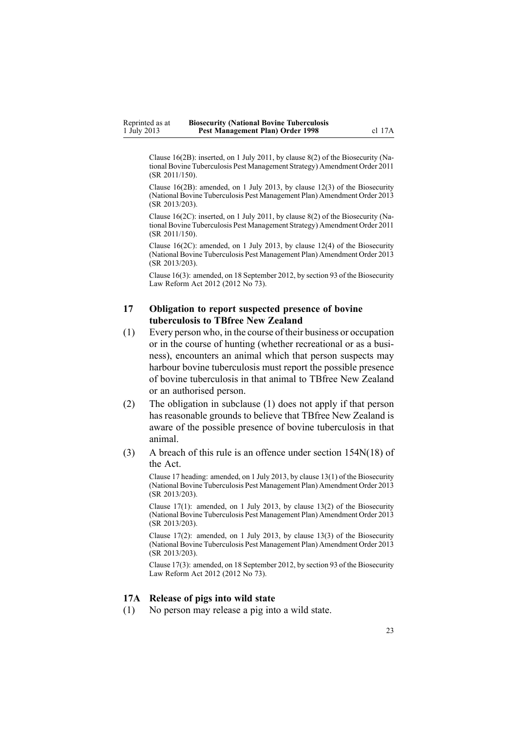<span id="page-22-0"></span>Clause 16(2B): inserted, on 1 July 2011, by [clause](http://www.legislation.govt.nz/pdflink.aspx?id=DLM3765133) 8(2) of the Biosecurity (National Bovine Tuberculosis Pest Management Strategy) Amendment Order 2011 (SR 2011/150).

Clause 16(2B): amended, on 1 July 2013, by [clause](http://www.legislation.govt.nz/pdflink.aspx?id=DLM5201154) 12(3) of the Biosecurity (National Bovine Tuberculosis Pest Management Plan) Amendment Order 2013 (SR 2013/203).

Clause 16(2C): inserted, on 1 July 2011, by [clause](http://www.legislation.govt.nz/pdflink.aspx?id=DLM3765133) 8(2) of the Biosecurity (National Bovine Tuberculosis Pest Management Strategy) Amendment Order 2011 (SR 2011/150).

Clause 16(2C): amended, on 1 July 2013, by clause [12\(4\)](http://www.legislation.govt.nz/pdflink.aspx?id=DLM5201154) of the Biosecurity (National Bovine Tuberculosis Pest Management Plan) Amendment Order 2013 (SR 2013/203).

Clause 16(3): amended, on 18 September 2012, by [section](http://www.legislation.govt.nz/pdflink.aspx?id=DLM3388552) 93 of the Biosecurity Law Reform Act 2012 (2012 No 73).

## **17 Obligation to report suspected presence of bovine tuberculosis to TBfree New Zealand**

- (1) Every person who, in the course of their business or occupation or in the course of hunting (whether recreational or as <sup>a</sup> business), encounters an animal which that person suspects may harbour bovine tuberculosis must repor<sup>t</sup> the possible presence of bovine tuberculosis in that animal to TBfree New Zealand or an authorised person.
- (2) The obligation in subclause (1) does not apply if that person has reasonable grounds to believe that TBfree New Zealand is aware of the possible presence of bovine tuberculosis in that animal.
- (3) A breach of this rule is an offence under section [154N\(18\)](http://www.legislation.govt.nz/pdflink.aspx?id=DLM4759461) of the Act.

Clause 17 heading: amended, on 1 July 2013, by clause [13\(1\)](http://www.legislation.govt.nz/pdflink.aspx?id=DLM5201155) of the Biosecurity (National Bovine Tuberculosis Pest Management Plan) Amendment Order 2013 (SR 2013/203).

Clause 17(1): amended, on 1 July 2013, by clause [13\(2\)](http://www.legislation.govt.nz/pdflink.aspx?id=DLM5201155) of the Biosecurity (National Bovine Tuberculosis Pest Management Plan) Amendment Order 2013 (SR 2013/203).

Clause 17(2): amended, on 1 July 2013, by clause [13\(3\)](http://www.legislation.govt.nz/pdflink.aspx?id=DLM5201155) of the Biosecurity (National Bovine Tuberculosis Pest Management Plan) Amendment Order 2013 (SR 2013/203).

Clause 17(3): amended, on 18 September 2012, by [section](http://www.legislation.govt.nz/pdflink.aspx?id=DLM3388552) 93 of the Biosecurity Law Reform Act 2012 (2012 No 73).

#### **17A Release of pigs into wild state**

(1) No person may release <sup>a</sup> pig into <sup>a</sup> wild state.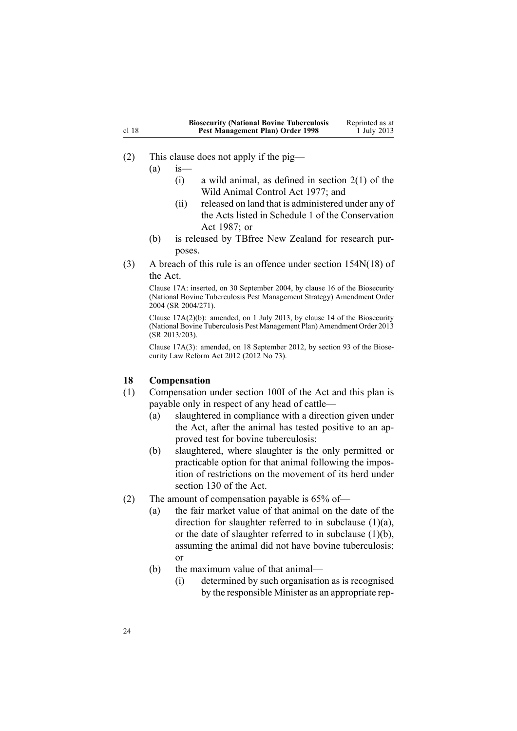<span id="page-23-0"></span>

|       | <b>Biosecurity (National Bovine Tuberculosis</b> | Reprinted as at |
|-------|--------------------------------------------------|-----------------|
| cl 18 | Pest Management Plan) Order 1998                 | 1 July 2013     |

(2) This clause does not apply if the pig—

 $(a)$  is

- (i) a wild animal, as defined in [section](http://www.legislation.govt.nz/pdflink.aspx?id=DLM16628)  $2(1)$  of the Wild Animal Control Act 1977; and
- (ii) released on land that is administered under any of the Acts listed in [Schedule](http://www.legislation.govt.nz/pdflink.aspx?id=DLM107200) 1 of the Conservation Act 1987; or
- (b) is released by TBfree New Zealand for research purposes.
- (3) A breach of this rule is an offence under section [154N\(18\)](http://www.legislation.govt.nz/pdflink.aspx?id=DLM4759461) of the Act.

Clause 17A: inserted, on 30 September 2004, by [clause](http://www.legislation.govt.nz/pdflink.aspx?id=DLM283607) 16 of the Biosecurity (National Bovine Tuberculosis Pest Management Strategy) Amendment Order 2004 (SR 2004/271).

Clause 17A(2)(b): amended, on 1 July 2013, by [clause](http://www.legislation.govt.nz/pdflink.aspx?id=DLM5201156) 14 of the Biosecurity (National Bovine Tuberculosis Pest Management Plan) Amendment Order 2013 (SR 2013/203).

Clause 17A(3): amended, on 18 September 2012, by [section](http://www.legislation.govt.nz/pdflink.aspx?id=DLM3388552) 93 of the Biosecurity Law Reform Act 2012 (2012 No 73).

## **18 Compensation**

- (1) Compensation under [section](http://www.legislation.govt.nz/pdflink.aspx?id=DLM4758108) 100I of the Act and this plan is payable only in respec<sup>t</sup> of any head of cattle—
	- (a) slaughtered in compliance with <sup>a</sup> direction given under the Act, after the animal has tested positive to an approved test for bovine tuberculosis:
	- (b) slaughtered, where slaughter is the only permitted or practicable option for that animal following the imposition of restrictions on the movement of its herd under [section](http://www.legislation.govt.nz/pdflink.aspx?id=DLM316351) 130 of the Act.
- (2) The amount of compensation payable is 65% of—
	- (a) the fair market value of that animal on the date of the direction for slaughter referred to in subclause  $(1)(a)$ , or the date of slaughter referred to in subclause  $(1)(b)$ , assuming the animal did not have bovine tuberculosis; or
	- (b) the maximum value of that animal—
		- (i) determined by such organisation as is recognised by the responsible Minister as an appropriate rep-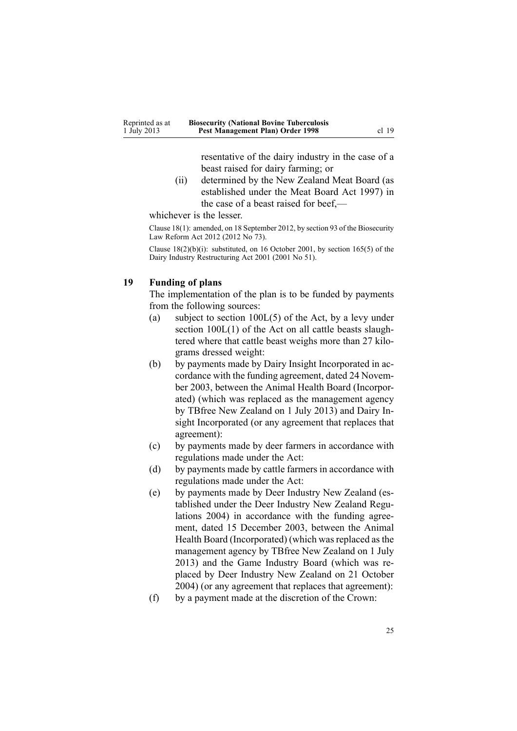resentative of the dairy industry in the case of <sup>a</sup> beast raised for dairy farming; or

<span id="page-24-0"></span>(ii) determined by the New Zealand Meat Board (as established under the Meat Board Act 1997) in the case of <sup>a</sup> beast raised for beef,—

whichever is the lesser.

Clause 18(1): amended, on 18 September 2012, by [section](http://www.legislation.govt.nz/pdflink.aspx?id=DLM3388552) 93 of the Biosecurity Law Reform Act 2012 (2012 No 73).

Clause  $18(2)(b)(i)$ : substituted, on 16 October 2001, by section  $165(5)$  of the Dairy Industry Restructuring Act 2001 (2001 No 51).

### **19 Funding of plans**

The implementation of the plan is to be funded by payments from the following sources:

- (a) subject to section [100L\(5\)](http://www.legislation.govt.nz/pdflink.aspx?id=DLM4758114) of the Act, by <sup>a</sup> levy under section  $100L(1)$  of the Act on all cattle beasts slaughtered where that cattle beast weighs more than 27 kilograms dressed weight:
- (b) by payments made by Dairy Insight Incorporated in accordance with the funding agreement, dated 24 November 2003, between the Animal Health Board (Incorporated) (which was replaced as the managemen<sup>t</sup> agency by TBfree New Zealand on 1 July 2013) and Dairy Insight Incorporated (or any agreemen<sup>t</sup> that replaces that agreement):
- (c) by payments made by deer farmers in accordance with regulations made under the Act:
- (d) by payments made by cattle farmers in accordance with regulations made under the Act:
- (e) by payments made by Deer Industry New Zealand (established under the Deer [Industry](http://www.legislation.govt.nz/pdflink.aspx?id=DLM289175) New Zealand Regu[lations](http://www.legislation.govt.nz/pdflink.aspx?id=DLM289175) 2004) in accordance with the funding agreement, dated 15 December 2003, between the Animal Health Board (Incorporated) (which was replaced as the managemen<sup>t</sup> agency by TBfree New Zealand on 1 July 2013) and the Game Industry Board (which was replaced by Deer Industry New Zealand on 21 October 2004) (or any agreemen<sup>t</sup> that replaces that agreement):
- (f) by <sup>a</sup> paymen<sup>t</sup> made at the discretion of the Crown: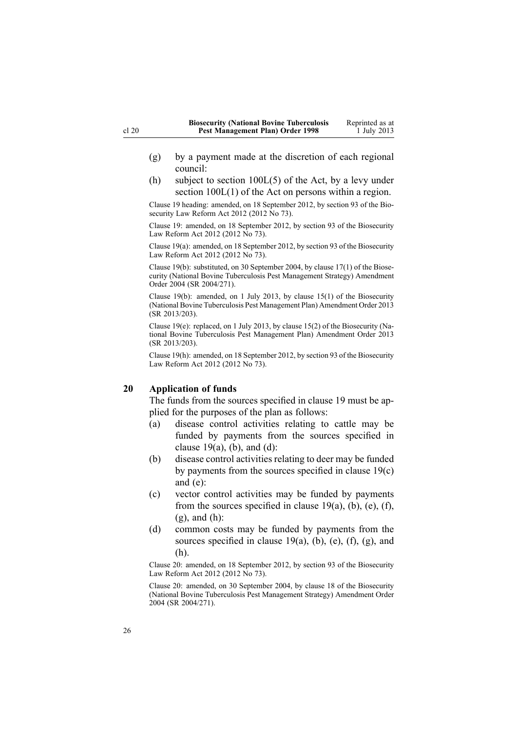- <span id="page-25-0"></span>(g) by <sup>a</sup> paymen<sup>t</sup> made at the discretion of each regional council:
- (h) subject to section [100L\(5\)](http://www.legislation.govt.nz/pdflink.aspx?id=DLM4758114) of the Act, by <sup>a</sup> levy under section [100L\(1\)](http://www.legislation.govt.nz/pdflink.aspx?id=DLM4758114) of the Act on persons within <sup>a</sup> region.

Clause 19 heading: amended, on 18 September 2012, by [section](http://www.legislation.govt.nz/pdflink.aspx?id=DLM3388552) 93 of the Biosecurity Law Reform Act 2012 (2012 No 73).

Clause 19: amended, on 18 September 2012, by [section](http://www.legislation.govt.nz/pdflink.aspx?id=DLM3388552) 93 of the Biosecurity Law Reform Act 2012 (2012 No 73).

Clause 19(a): amended, on 18 September 2012, by [section](http://www.legislation.govt.nz/pdflink.aspx?id=DLM3388552) 93 of the Biosecurity Law Reform Act 2012 (2012 No 73).

Clause 19(b): substituted, on 30 September 2004, by [clause](http://www.legislation.govt.nz/pdflink.aspx?id=DLM283609) 17(1) of the Biosecurity (National Bovine Tuberculosis Pest Management Strategy) Amendment Order 2004 (SR 2004/271).

Clause 19(b): amended, on 1 July 2013, by [clause](http://www.legislation.govt.nz/pdflink.aspx?id=DLM5201157) 15(1) of the Biosecurity (National Bovine Tuberculosis Pest Management Plan) Amendment Order 2013 (SR 2013/203).

Clause 19(e): replaced, on 1 July 2013, by clause [15\(2\)](http://www.legislation.govt.nz/pdflink.aspx?id=DLM5201157) of the Biosecurity (National Bovine Tuberculosis Pest Management Plan) Amendment Order 2013 (SR 2013/203).

Clause 19(h): amended, on 18 September 2012, by [section](http://www.legislation.govt.nz/pdflink.aspx?id=DLM3388552) 93 of the Biosecurity Law Reform Act 2012 (2012 No 73).

#### **20 Application of funds**

The funds from the sources specified in [clause](#page-24-0) 19 must be applied for the purposes of the plan as follows:

- (a) disease control activities relating to cattle may be funded by payments from the sources specified in clause  $19(a)$ , (b), and (d):
- (b) disease control activities relating to deer may be funded by payments from the sources specified in clause [19\(c\)](#page-24-0) and [\(e\)](#page-24-0):
- (c) vector control activities may be funded by payments from the sources specified in clause  $19(a)$ , (b), (e), (f), [\(g\),](#page-24-0) and (h):
- (d) common costs may be funded by payments from the sources specified in clause  $19(a)$ , (b), (e), (f), (g), and [\(h\)](#page-24-0).

Clause 20: amended, on 18 September 2012, by [section](http://www.legislation.govt.nz/pdflink.aspx?id=DLM3388552) 93 of the Biosecurity Law Reform Act 2012 (2012 No 73).

Clause 20: amended, on 30 September 2004, by [clause](http://www.legislation.govt.nz/pdflink.aspx?id=DLM283610) 18 of the Biosecurity (National Bovine Tuberculosis Pest Management Strategy) Amendment Order 2004 (SR 2004/271).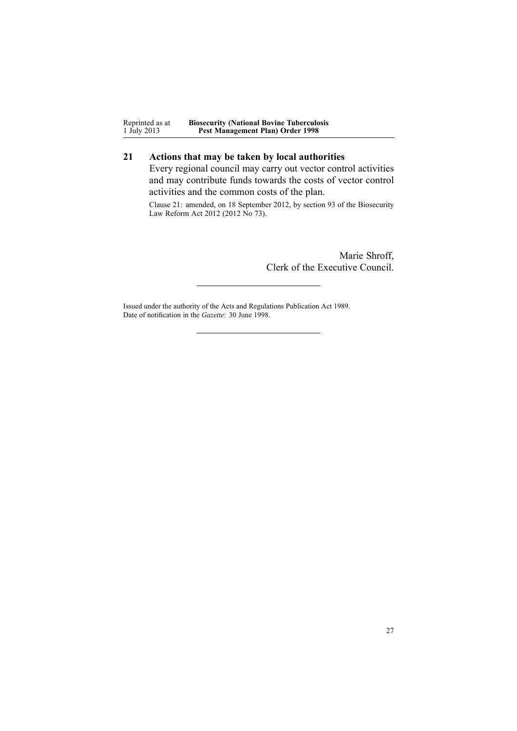<span id="page-26-0"></span>Reprinted as at 1 July 2013 **Biosecurity (National Bovine Tuberculosis Pest Management Plan) Order 1998**

## **21 Actions that may be taken by local authorities**

Every regional council may carry out vector control activities and may contribute funds towards the costs of vector control activities and the common costs of the plan.

Clause 21: amended, on 18 September 2012, by [section](http://www.legislation.govt.nz/pdflink.aspx?id=DLM3388552) 93 of the Biosecurity Law Reform Act 2012 (2012 No 73).

> Marie Shroff, Clerk of the Executive Council.

Issued under the authority of the Acts and [Regulations](http://www.legislation.govt.nz/pdflink.aspx?id=DLM195097) Publication Act 1989. Date of notification in the *Gazette*: 30 June 1998.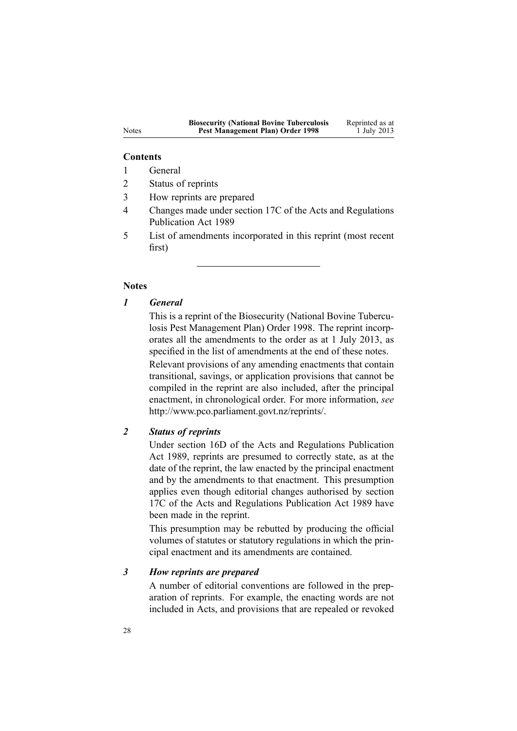#### **Contents**

- 1 General
- 2 Status of reprints
- 3 How reprints are prepared
- 4 Changes made under section 17C of the Acts and Regulations Publication Act 1989
- 5 List of amendments incorporated in this reprint (most recent first)

### **Notes**

## *1 General*

This is <sup>a</sup> reprint of the Biosecurity (National Bovine Tuberculosis Pest Management Plan) Order 1998. The reprint incorporates all the amendments to the order as at 1 July 2013, as specified in the list of amendments at the end of these notes. Relevant provisions of any amending enactments that contain transitional, savings, or application provisions that cannot be compiled in the reprint are also included, after the principal enactment, in chronological order. For more information, *see* <http://www.pco.parliament.govt.nz/reprints/>.

## *2 Status of reprints*

Under [section](http://www.legislation.govt.nz/pdflink.aspx?id=DLM195439) 16D of the Acts and Regulations Publication Act 1989, reprints are presumed to correctly state, as at the date of the reprint, the law enacted by the principal enactment and by the amendments to that enactment. This presumption applies even though editorial changes authorised by [section](http://www.legislation.govt.nz/pdflink.aspx?id=DLM195466) [17C](http://www.legislation.govt.nz/pdflink.aspx?id=DLM195466) of the Acts and Regulations Publication Act 1989 have been made in the reprint.

This presumption may be rebutted by producing the official volumes of statutes or statutory regulations in which the principal enactment and its amendments are contained.

#### *3 How reprints are prepared*

A number of editorial conventions are followed in the preparation of reprints. For example, the enacting words are not included in Acts, and provisions that are repealed or revoked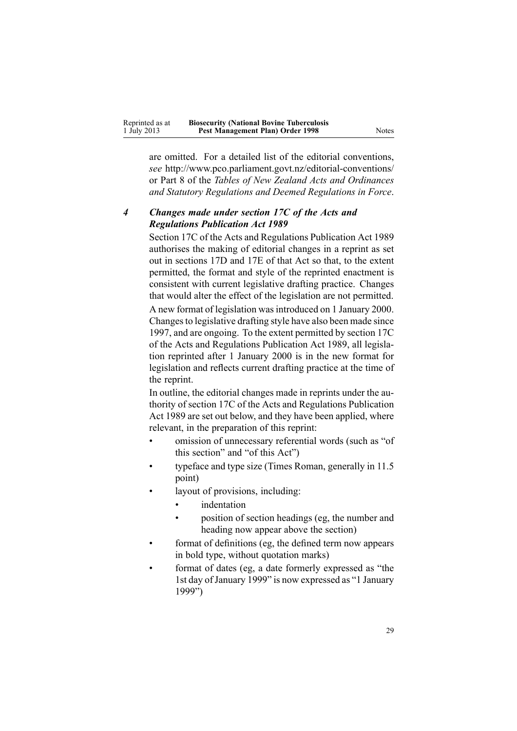| Reprinted as at | <b>Biosecurity (National Bovine Tuberculosis</b> |       |
|-----------------|--------------------------------------------------|-------|
| 1 July 2013     | Pest Management Plan) Order 1998                 | Notes |

are omitted. For <sup>a</sup> detailed list of the editorial conventions, *see* <http://www.pco.parliament.govt.nz/editorial-conventions/> or Part 8 of the *Tables of New Zealand Acts and Ordinances and Statutory Regulations and Deemed Regulations in Force*.

## *4 Changes made under section 17C of the Acts and Regulations Publication Act 1989*

[Section](http://www.legislation.govt.nz/pdflink.aspx?id=DLM195466) 17C of the Acts and Regulations Publication Act 1989 authorises the making of editorial changes in <sup>a</sup> reprint as set out in [sections](http://www.legislation.govt.nz/pdflink.aspx?id=DLM195468) 17D and [17E](http://www.legislation.govt.nz/pdflink.aspx?id=DLM195470) of that Act so that, to the extent permitted, the format and style of the reprinted enactment is consistent with current legislative drafting practice. Changes that would alter the effect of the legislation are not permitted.

A new format of legislation wasintroduced on 1 January 2000. Changesto legislative drafting style have also been made since 1997, and are ongoing. To the extent permitted by [section](http://www.legislation.govt.nz/pdflink.aspx?id=DLM195466) 17C of the Acts and Regulations Publication Act 1989, all legislation reprinted after 1 January 2000 is in the new format for legislation and reflects current drafting practice at the time of the reprint.

In outline, the editorial changes made in reprints under the authority of [section](http://www.legislation.govt.nz/pdflink.aspx?id=DLM195466) 17C of the Acts and Regulations Publication Act 1989 are set out below, and they have been applied, where relevant, in the preparation of this reprint:

- • omission of unnecessary referential words (such as "of this section" and "of this Act")
- • typeface and type size (Times Roman, generally in 11.5 point)
- • layout of provisions, including:
	- •indentation
	- • position of section headings (eg, the number and heading now appear above the section)
- • format of definitions (eg, the defined term now appears in bold type, without quotation marks)
- • format of dates (eg, <sup>a</sup> date formerly expressed as "the 1st day ofJanuary 1999" is now expressed as "1 January 1999")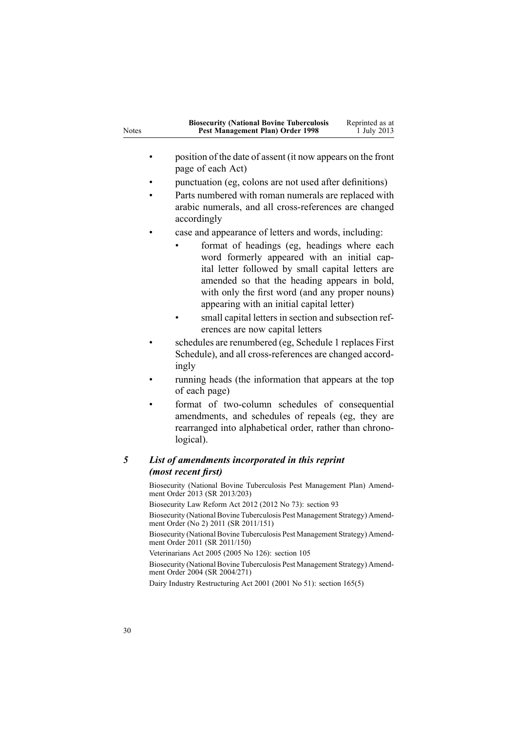| <b>Notes</b> | <b>Biosecurity (National Bovine Tuberculosis</b><br>Reprinted as at<br>Pest Management Plan) Order 1998<br>1 July 2013                                                                                                                                                                          |
|--------------|-------------------------------------------------------------------------------------------------------------------------------------------------------------------------------------------------------------------------------------------------------------------------------------------------|
|              | position of the date of assent (it now appears on the front<br>page of each Act)                                                                                                                                                                                                                |
|              | punctuation (eg, colons are not used after definitions)                                                                                                                                                                                                                                         |
|              | Parts numbered with roman numerals are replaced with<br>arabic numerals, and all cross-references are changed<br>accordingly                                                                                                                                                                    |
|              | case and appearance of letters and words, including:                                                                                                                                                                                                                                            |
|              | format of headings (eg, headings where each<br>word formerly appeared with an initial cap-<br>ital letter followed by small capital letters are<br>amended so that the heading appears in bold,<br>with only the first word (and any proper nouns)<br>appearing with an initial capital letter) |
|              | small capital letters in section and subsection ref-<br>erences are now capital letters                                                                                                                                                                                                         |
|              | schedules are renumbered (eg, Schedule 1 replaces First                                                                                                                                                                                                                                         |

- Schedule), and all cross-references are changed accordingly
- • running heads (the information that appears at the top of each page)
- • format of two-column schedules of consequential amendments, and schedules of repeals (eg, they are rearranged into alphabetical order, rather than chronological).

## *5 List of amendments incorporated in this reprint (most recent first)*

Biosecurity (National Bovine Tuberculosis Pest [Management](http://www.legislation.govt.nz/pdflink.aspx?id=DLM5201132) Plan) Amendment [Order](http://www.legislation.govt.nz/pdflink.aspx?id=DLM5201132) 2013 (SR 2013/203) Biosecurity Law Reform Act 2012 (2012 No 73): [section](http://www.legislation.govt.nz/pdflink.aspx?id=DLM3388552) 93 Biosecurity (National Bovine Tuberculosis Pest [Management](http://www.legislation.govt.nz/pdflink.aspx?id=DLM3696900) Strategy) Amendment [Order](http://www.legislation.govt.nz/pdflink.aspx?id=DLM3696900) (No 2) 2011 (SR 2011/151) Biosecurity (National Bovine Tuberculosis Pest [Management](http://www.legislation.govt.nz/pdflink.aspx?id=DLM3765113) Strategy) Amendment [Order](http://www.legislation.govt.nz/pdflink.aspx?id=DLM3765113) 2011 (SR 2011/150) Veterinarians Act 2005 (2005 No 126): [section](http://www.legislation.govt.nz/pdflink.aspx?id=DLM364675) 105 Biosecurity (National Bovine Tuberculosis Pest [Management](http://www.legislation.govt.nz/pdflink.aspx?id=DLM283054) Strategy) Amendment [Order](http://www.legislation.govt.nz/pdflink.aspx?id=DLM283054) 2004 (SR 2004/271) Dairy Industry Restructuring Act 2001 (2001 No 51): section [165\(5\)](http://www.legislation.govt.nz/pdflink.aspx?id=DLM110110)